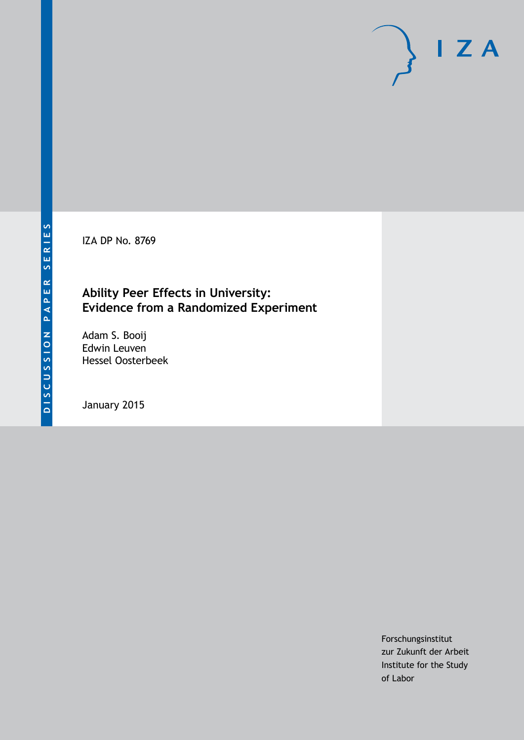IZA DP No. 8769

# **Ability Peer Effects in University: Evidence from a Randomized Experiment**

Adam S. Booij Edwin Leuven Hessel Oosterbeek

January 2015

Forschungsinstitut zur Zukunft der Arbeit Institute for the Study of Labor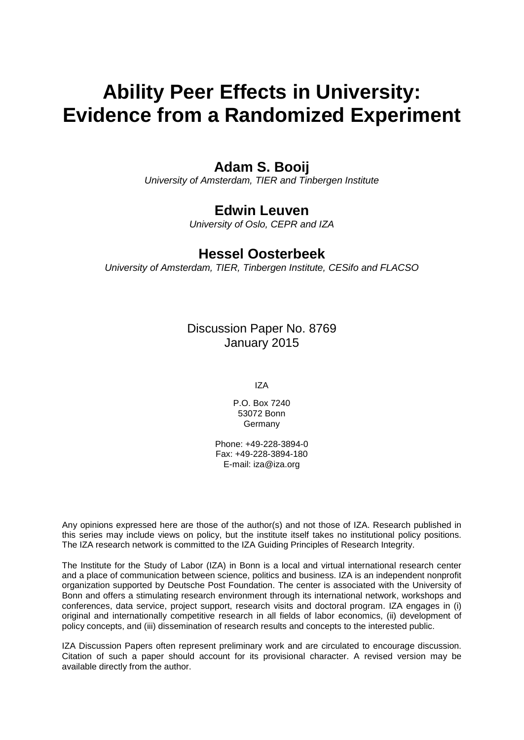# **Ability Peer Effects in University: Evidence from a Randomized Experiment**

# **Adam S. Booij**

*University of Amsterdam, TIER and Tinbergen Institute*

# **Edwin Leuven**

*University of Oslo, CEPR and IZA*

# **Hessel Oosterbeek**

*University of Amsterdam, TIER, Tinbergen Institute, CESifo and FLACSO*

Discussion Paper No. 8769 January 2015

IZA

P.O. Box 7240 53072 Bonn Germany

Phone: +49-228-3894-0 Fax: +49-228-3894-180 E-mail: [iza@iza.org](mailto:iza@iza.org)

Any opinions expressed here are those of the author(s) and not those of IZA. Research published in this series may include views on policy, but the institute itself takes no institutional policy positions. The IZA research network is committed to the IZA Guiding Principles of Research Integrity.

The Institute for the Study of Labor (IZA) in Bonn is a local and virtual international research center and a place of communication between science, politics and business. IZA is an independent nonprofit organization supported by Deutsche Post Foundation. The center is associated with the University of Bonn and offers a stimulating research environment through its international network, workshops and conferences, data service, project support, research visits and doctoral program. IZA engages in (i) original and internationally competitive research in all fields of labor economics, (ii) development of policy concepts, and (iii) dissemination of research results and concepts to the interested public.

<span id="page-1-0"></span>IZA Discussion Papers often represent preliminary work and are circulated to encourage discussion. Citation of such a paper should account for its provisional character. A revised version may be available directly from the author.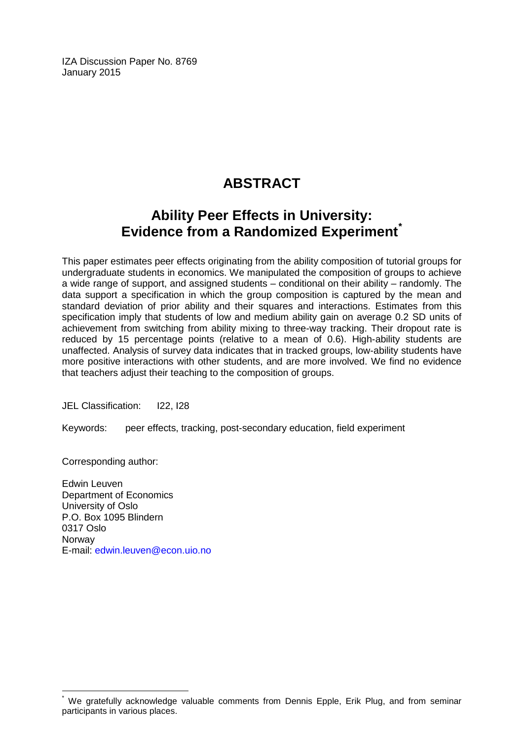IZA Discussion Paper No. 8769 January 2015

# **ABSTRACT**

# **Ability Peer Effects in University: Evidence from a Randomized Experiment[\\*](#page-1-0)**

This paper estimates peer effects originating from the ability composition of tutorial groups for undergraduate students in economics. We manipulated the composition of groups to achieve a wide range of support, and assigned students – conditional on their ability – randomly. The data support a specification in which the group composition is captured by the mean and standard deviation of prior ability and their squares and interactions. Estimates from this specification imply that students of low and medium ability gain on average 0.2 SD units of achievement from switching from ability mixing to three-way tracking. Their dropout rate is reduced by 15 percentage points (relative to a mean of 0.6). High-ability students are unaffected. Analysis of survey data indicates that in tracked groups, low-ability students have more positive interactions with other students, and are more involved. We find no evidence that teachers adjust their teaching to the composition of groups.

JEL Classification: I22, I28

Keywords: peer effects, tracking, post-secondary education, field experiment

Corresponding author:

Edwin Leuven Department of Economics University of Oslo P.O. Box 1095 Blindern 0317 Oslo **Norway** E-mail: [edwin.leuven@econ.uio.no](mailto:edwin.leuven@econ.uio.no)

We gratefully acknowledge valuable comments from Dennis Epple, Erik Plug, and from seminar participants in various places.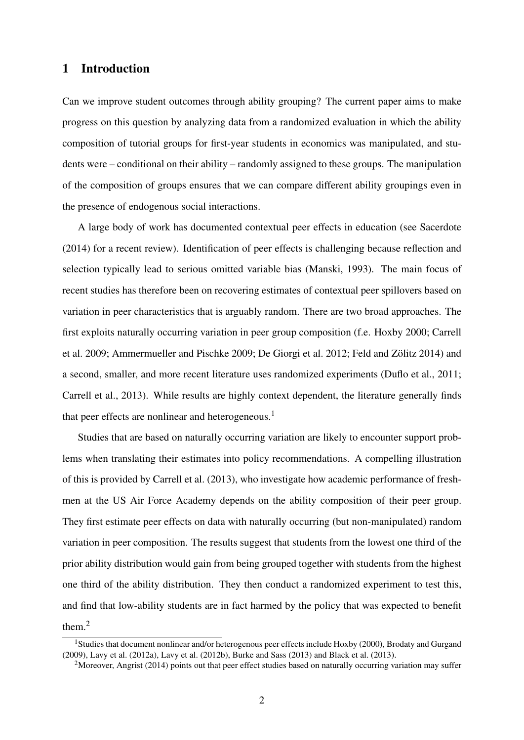## 1 Introduction

Can we improve student outcomes through ability grouping? The current paper aims to make progress on this question by analyzing data from a randomized evaluation in which the ability composition of tutorial groups for first-year students in economics was manipulated, and students were – conditional on their ability – randomly assigned to these groups. The manipulation of the composition of groups ensures that we can compare different ability groupings even in the presence of endogenous social interactions.

A large body of work has documented contextual peer effects in education (see Sacerdote (2014) for a recent review). Identification of peer effects is challenging because reflection and selection typically lead to serious omitted variable bias (Manski, 1993). The main focus of recent studies has therefore been on recovering estimates of contextual peer spillovers based on variation in peer characteristics that is arguably random. There are two broad approaches. The first exploits naturally occurring variation in peer group composition (f.e. Hoxby 2000; Carrell et al. 2009; Ammermueller and Pischke 2009; De Giorgi et al. 2012; Feld and Zölitz 2014) and a second, smaller, and more recent literature uses randomized experiments (Duflo et al., 2011; Carrell et al., 2013). While results are highly context dependent, the literature generally finds that peer effects are nonlinear and heterogeneous.<sup>1</sup>

Studies that are based on naturally occurring variation are likely to encounter support problems when translating their estimates into policy recommendations. A compelling illustration of this is provided by Carrell et al. (2013), who investigate how academic performance of freshmen at the US Air Force Academy depends on the ability composition of their peer group. They first estimate peer effects on data with naturally occurring (but non-manipulated) random variation in peer composition. The results suggest that students from the lowest one third of the prior ability distribution would gain from being grouped together with students from the highest one third of the ability distribution. They then conduct a randomized experiment to test this, and find that low-ability students are in fact harmed by the policy that was expected to benefit them.<sup>2</sup>

<sup>&</sup>lt;sup>1</sup>Studies that document nonlinear and/or heterogenous peer effects include Hoxby (2000), Brodaty and Gurgand (2009), Lavy et al. (2012a), Lavy et al. (2012b), Burke and Sass (2013) and Black et al. (2013).

<sup>&</sup>lt;sup>2</sup>Moreover, Angrist (2014) points out that peer effect studies based on naturally occurring variation may suffer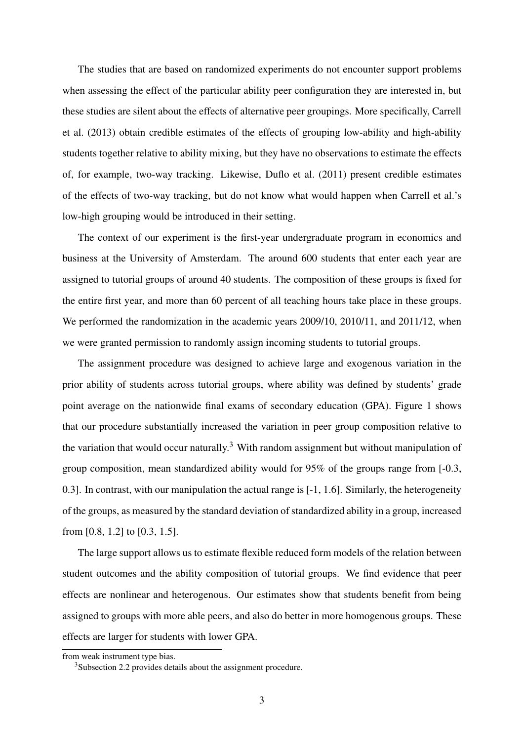The studies that are based on randomized experiments do not encounter support problems when assessing the effect of the particular ability peer configuration they are interested in, but these studies are silent about the effects of alternative peer groupings. More specifically, Carrell et al. (2013) obtain credible estimates of the effects of grouping low-ability and high-ability students together relative to ability mixing, but they have no observations to estimate the effects of, for example, two-way tracking. Likewise, Duflo et al. (2011) present credible estimates of the effects of two-way tracking, but do not know what would happen when Carrell et al.'s low-high grouping would be introduced in their setting.

The context of our experiment is the first-year undergraduate program in economics and business at the University of Amsterdam. The around 600 students that enter each year are assigned to tutorial groups of around 40 students. The composition of these groups is fixed for the entire first year, and more than 60 percent of all teaching hours take place in these groups. We performed the randomization in the academic years 2009/10, 2010/11, and 2011/12, when we were granted permission to randomly assign incoming students to tutorial groups.

The assignment procedure was designed to achieve large and exogenous variation in the prior ability of students across tutorial groups, where ability was defined by students' grade point average on the nationwide final exams of secondary education (GPA). Figure 1 shows that our procedure substantially increased the variation in peer group composition relative to the variation that would occur naturally.<sup>3</sup> With random assignment but without manipulation of group composition, mean standardized ability would for 95% of the groups range from [-0.3, 0.3]. In contrast, with our manipulation the actual range is [-1, 1.6]. Similarly, the heterogeneity of the groups, as measured by the standard deviation of standardized ability in a group, increased from [0.8, 1.2] to [0.3, 1.5].

The large support allows us to estimate flexible reduced form models of the relation between student outcomes and the ability composition of tutorial groups. We find evidence that peer effects are nonlinear and heterogenous. Our estimates show that students benefit from being assigned to groups with more able peers, and also do better in more homogenous groups. These effects are larger for students with lower GPA.

from weak instrument type bias.

<sup>3</sup>Subsection 2.2 provides details about the assignment procedure.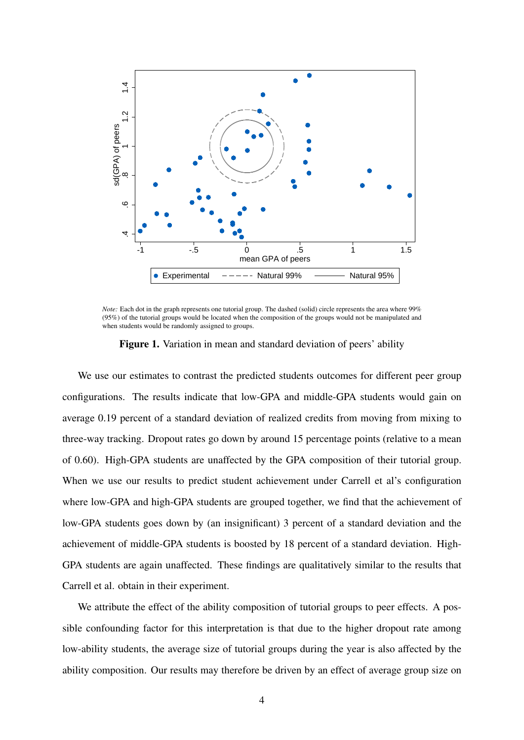

*Note:* Each dot in the graph represents one tutorial group. The dashed (solid) circle represents the area where 99% (95%) of the tutorial groups would be located when the composition of the groups would not be manipulated and when students would be randomly assigned to groups.

Figure 1. Variation in mean and standard deviation of peers' ability

We use our estimates to contrast the predicted students outcomes for different peer group configurations. The results indicate that low-GPA and middle-GPA students would gain on average 0.19 percent of a standard deviation of realized credits from moving from mixing to three-way tracking. Dropout rates go down by around 15 percentage points (relative to a mean of 0.60). High-GPA students are unaffected by the GPA composition of their tutorial group. When we use our results to predict student achievement under Carrell et al's configuration where low-GPA and high-GPA students are grouped together, we find that the achievement of low-GPA students goes down by (an insignificant) 3 percent of a standard deviation and the achievement of middle-GPA students is boosted by 18 percent of a standard deviation. High-GPA students are again unaffected. These findings are qualitatively similar to the results that Carrell et al. obtain in their experiment.

We attribute the effect of the ability composition of tutorial groups to peer effects. A possible confounding factor for this interpretation is that due to the higher dropout rate among low-ability students, the average size of tutorial groups during the year is also affected by the ability composition. Our results may therefore be driven by an effect of average group size on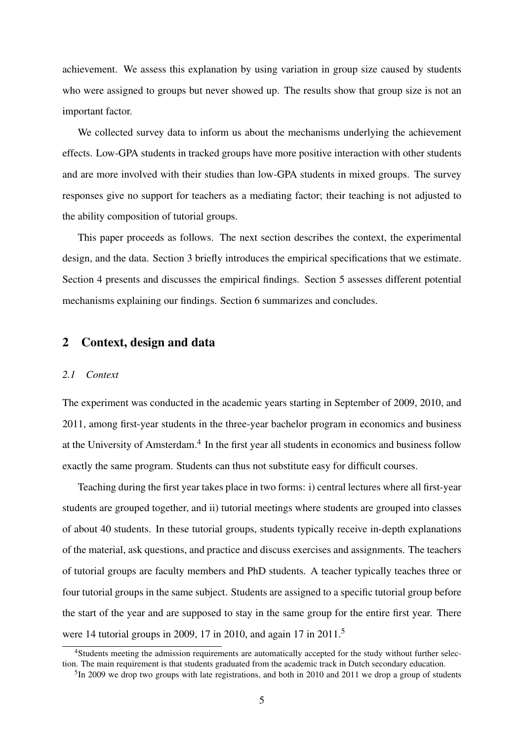achievement. We assess this explanation by using variation in group size caused by students who were assigned to groups but never showed up. The results show that group size is not an important factor.

We collected survey data to inform us about the mechanisms underlying the achievement effects. Low-GPA students in tracked groups have more positive interaction with other students and are more involved with their studies than low-GPA students in mixed groups. The survey responses give no support for teachers as a mediating factor; their teaching is not adjusted to the ability composition of tutorial groups.

This paper proceeds as follows. The next section describes the context, the experimental design, and the data. Section 3 briefly introduces the empirical specifications that we estimate. Section 4 presents and discusses the empirical findings. Section 5 assesses different potential mechanisms explaining our findings. Section 6 summarizes and concludes.

### 2 Context, design and data

### *2.1 Context*

The experiment was conducted in the academic years starting in September of 2009, 2010, and 2011, among first-year students in the three-year bachelor program in economics and business at the University of Amsterdam.<sup>4</sup> In the first year all students in economics and business follow exactly the same program. Students can thus not substitute easy for difficult courses.

Teaching during the first year takes place in two forms: i) central lectures where all first-year students are grouped together, and ii) tutorial meetings where students are grouped into classes of about 40 students. In these tutorial groups, students typically receive in-depth explanations of the material, ask questions, and practice and discuss exercises and assignments. The teachers of tutorial groups are faculty members and PhD students. A teacher typically teaches three or four tutorial groups in the same subject. Students are assigned to a specific tutorial group before the start of the year and are supposed to stay in the same group for the entire first year. There were 14 tutorial groups in 2009, 17 in 2010, and again 17 in 2011.<sup>5</sup>

<sup>4</sup>Students meeting the admission requirements are automatically accepted for the study without further selection. The main requirement is that students graduated from the academic track in Dutch secondary education.

<sup>&</sup>lt;sup>5</sup>In 2009 we drop two groups with late registrations, and both in 2010 and 2011 we drop a group of students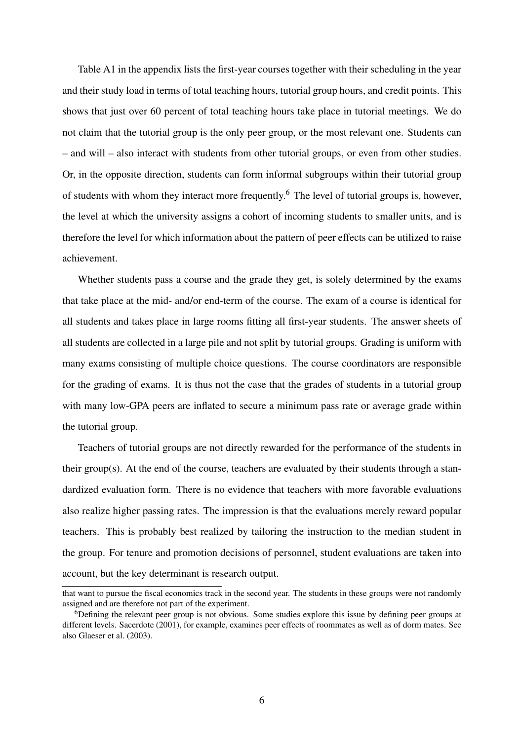Table A1 in the appendix lists the first-year courses together with their scheduling in the year and their study load in terms of total teaching hours, tutorial group hours, and credit points. This shows that just over 60 percent of total teaching hours take place in tutorial meetings. We do not claim that the tutorial group is the only peer group, or the most relevant one. Students can – and will – also interact with students from other tutorial groups, or even from other studies. Or, in the opposite direction, students can form informal subgroups within their tutorial group of students with whom they interact more frequently.<sup>6</sup> The level of tutorial groups is, however, the level at which the university assigns a cohort of incoming students to smaller units, and is therefore the level for which information about the pattern of peer effects can be utilized to raise achievement.

Whether students pass a course and the grade they get, is solely determined by the exams that take place at the mid- and/or end-term of the course. The exam of a course is identical for all students and takes place in large rooms fitting all first-year students. The answer sheets of all students are collected in a large pile and not split by tutorial groups. Grading is uniform with many exams consisting of multiple choice questions. The course coordinators are responsible for the grading of exams. It is thus not the case that the grades of students in a tutorial group with many low-GPA peers are inflated to secure a minimum pass rate or average grade within the tutorial group.

Teachers of tutorial groups are not directly rewarded for the performance of the students in their group(s). At the end of the course, teachers are evaluated by their students through a standardized evaluation form. There is no evidence that teachers with more favorable evaluations also realize higher passing rates. The impression is that the evaluations merely reward popular teachers. This is probably best realized by tailoring the instruction to the median student in the group. For tenure and promotion decisions of personnel, student evaluations are taken into account, but the key determinant is research output.

that want to pursue the fiscal economics track in the second year. The students in these groups were not randomly assigned and are therefore not part of the experiment.

<sup>6</sup>Defining the relevant peer group is not obvious. Some studies explore this issue by defining peer groups at different levels. Sacerdote (2001), for example, examines peer effects of roommates as well as of dorm mates. See also Glaeser et al. (2003).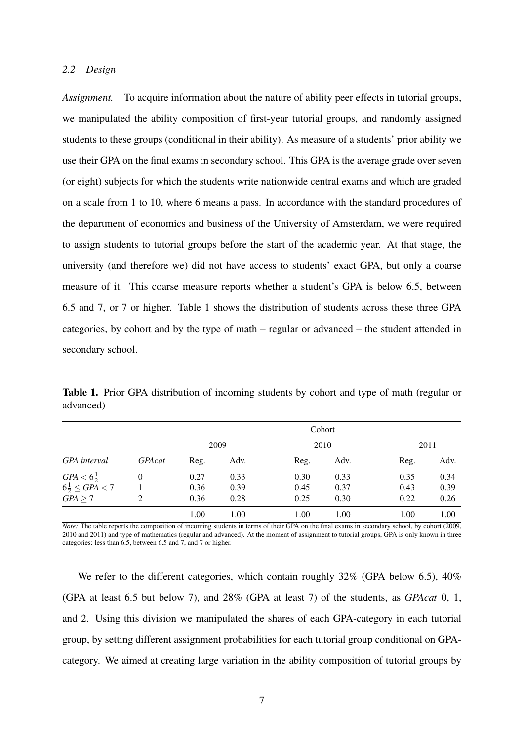#### *2.2 Design*

*Assignment.* To acquire information about the nature of ability peer effects in tutorial groups, we manipulated the ability composition of first-year tutorial groups, and randomly assigned students to these groups (conditional in their ability). As measure of a students' prior ability we use their GPA on the final exams in secondary school. This GPA is the average grade over seven (or eight) subjects for which the students write nationwide central exams and which are graded on a scale from 1 to 10, where 6 means a pass. In accordance with the standard procedures of the department of economics and business of the University of Amsterdam, we were required to assign students to tutorial groups before the start of the academic year. At that stage, the university (and therefore we) did not have access to students' exact GPA, but only a coarse measure of it. This coarse measure reports whether a student's GPA is below 6.5, between 6.5 and 7, or 7 or higher. Table 1 shows the distribution of students across these three GPA categories, by cohort and by the type of math – regular or advanced – the student attended in secondary school.

Table 1. Prior GPA distribution of incoming students by cohort and type of math (regular or advanced)

|                                     |               |      |      |      | Cohort |      |      |
|-------------------------------------|---------------|------|------|------|--------|------|------|
|                                     |               |      | 2009 |      | 2010   | 2011 |      |
| GPA interval                        | <b>GPAcat</b> | Reg. | Adv. | Reg. | Adv.   | Reg. | Adv. |
| $GPA < 6\frac{1}{2}$                | $\theta$      | 0.27 | 0.33 | 0.30 | 0.33   | 0.35 | 0.34 |
| $6\frac{1}{2} \leq G\tilde{PA} < 7$ |               | 0.36 | 0.39 | 0.45 | 0.37   | 0.43 | 0.39 |
| $GPA \geq 7$                        | 2             | 0.36 | 0.28 | 0.25 | 0.30   | 0.22 | 0.26 |
|                                     |               | 1.00 | 1.00 | 1.00 | 1.00   | 1.00 | 1.00 |

*Note:* The table reports the composition of incoming students in terms of their GPA on the final exams in secondary school, by cohort (2009, 2010 and 2011) and type of mathematics (regular and advanced). At the moment of assignment to tutorial groups, GPA is only known in three categories: less than 6.5, between 6.5 and 7, and 7 or higher.

We refer to the different categories, which contain roughly 32% (GPA below 6.5), 40% (GPA at least 6.5 but below 7), and 28% (GPA at least 7) of the students, as *GPAcat* 0, 1, and 2. Using this division we manipulated the shares of each GPA-category in each tutorial group, by setting different assignment probabilities for each tutorial group conditional on GPAcategory. We aimed at creating large variation in the ability composition of tutorial groups by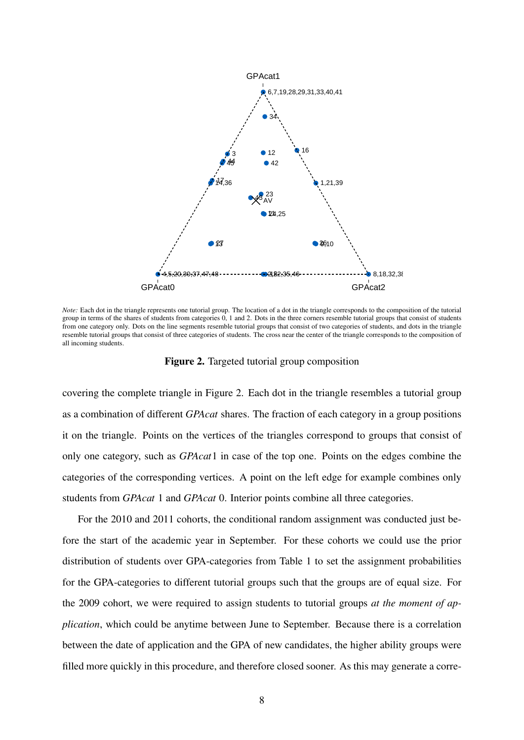

*Note:* Each dot in the triangle represents one tutorial group. The location of a dot in the triangle corresponds to the composition of the tutorial group in terms of the shares of students from categories 0, 1 and 2. Dots in the three corners resemble tutorial groups that consist of students from one category only. Dots on the line segments resemble tutorial groups that consist of two categories of students, and dots in the triangle resemble tutorial groups that consist of three categories of students. The cross near the center of the triangle corresponds to the composition of all incoming students.

Figure 2. Targeted tutorial group composition

covering the complete triangle in Figure 2. Each dot in the triangle resembles a tutorial group as a combination of different *GPAcat* shares. The fraction of each category in a group positions it on the triangle. Points on the vertices of the triangles correspond to groups that consist of only one category, such as *GPAcat*1 in case of the top one. Points on the edges combine the categories of the corresponding vertices. A point on the left edge for example combines only students from *GPAcat* 1 and *GPAcat* 0. Interior points combine all three categories.

For the 2010 and 2011 cohorts, the conditional random assignment was conducted just before the start of the academic year in September. For these cohorts we could use the prior distribution of students over GPA-categories from Table 1 to set the assignment probabilities for the GPA-categories to different tutorial groups such that the groups are of equal size. For the 2009 cohort, we were required to assign students to tutorial groups *at the moment of application*, which could be anytime between June to September. Because there is a correlation between the date of application and the GPA of new candidates, the higher ability groups were filled more quickly in this procedure, and therefore closed sooner. As this may generate a corre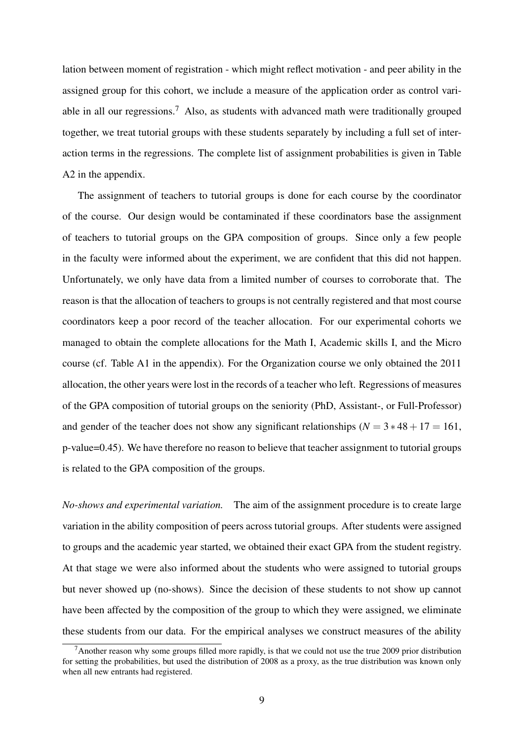lation between moment of registration - which might reflect motivation - and peer ability in the assigned group for this cohort, we include a measure of the application order as control variable in all our regressions.<sup>7</sup> Also, as students with advanced math were traditionally grouped together, we treat tutorial groups with these students separately by including a full set of interaction terms in the regressions. The complete list of assignment probabilities is given in Table A2 in the appendix.

The assignment of teachers to tutorial groups is done for each course by the coordinator of the course. Our design would be contaminated if these coordinators base the assignment of teachers to tutorial groups on the GPA composition of groups. Since only a few people in the faculty were informed about the experiment, we are confident that this did not happen. Unfortunately, we only have data from a limited number of courses to corroborate that. The reason is that the allocation of teachers to groups is not centrally registered and that most course coordinators keep a poor record of the teacher allocation. For our experimental cohorts we managed to obtain the complete allocations for the Math I, Academic skills I, and the Micro course (cf. Table A1 in the appendix). For the Organization course we only obtained the 2011 allocation, the other years were lost in the records of a teacher who left. Regressions of measures of the GPA composition of tutorial groups on the seniority (PhD, Assistant-, or Full-Professor) and gender of the teacher does not show any significant relationships ( $N = 3*48 + 17 = 161$ , p-value=0.45). We have therefore no reason to believe that teacher assignment to tutorial groups is related to the GPA composition of the groups.

*No-shows and experimental variation.* The aim of the assignment procedure is to create large variation in the ability composition of peers across tutorial groups. After students were assigned to groups and the academic year started, we obtained their exact GPA from the student registry. At that stage we were also informed about the students who were assigned to tutorial groups but never showed up (no-shows). Since the decision of these students to not show up cannot have been affected by the composition of the group to which they were assigned, we eliminate these students from our data. For the empirical analyses we construct measures of the ability

<sup>&</sup>lt;sup>7</sup>Another reason why some groups filled more rapidly, is that we could not use the true 2009 prior distribution for setting the probabilities, but used the distribution of 2008 as a proxy, as the true distribution was known only when all new entrants had registered.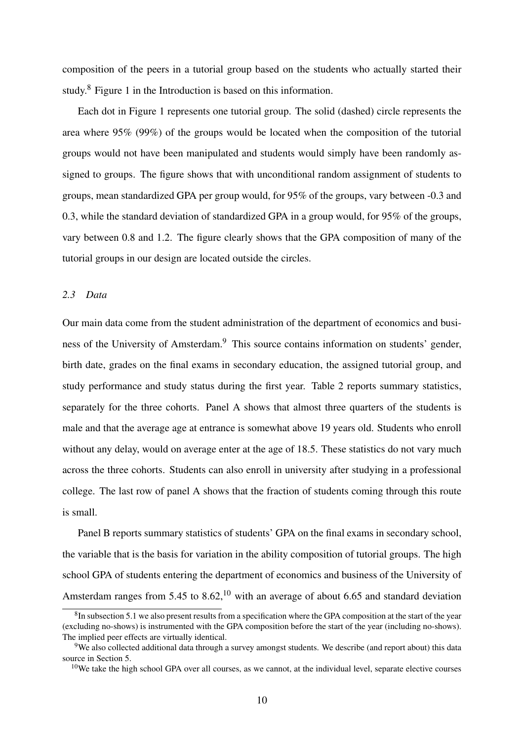composition of the peers in a tutorial group based on the students who actually started their study.<sup>8</sup> Figure 1 in the Introduction is based on this information.

Each dot in Figure 1 represents one tutorial group. The solid (dashed) circle represents the area where 95% (99%) of the groups would be located when the composition of the tutorial groups would not have been manipulated and students would simply have been randomly assigned to groups. The figure shows that with unconditional random assignment of students to groups, mean standardized GPA per group would, for 95% of the groups, vary between -0.3 and 0.3, while the standard deviation of standardized GPA in a group would, for 95% of the groups, vary between 0.8 and 1.2. The figure clearly shows that the GPA composition of many of the tutorial groups in our design are located outside the circles.

#### *2.3 Data*

Our main data come from the student administration of the department of economics and business of the University of Amsterdam.<sup>9</sup> This source contains information on students' gender, birth date, grades on the final exams in secondary education, the assigned tutorial group, and study performance and study status during the first year. Table 2 reports summary statistics, separately for the three cohorts. Panel A shows that almost three quarters of the students is male and that the average age at entrance is somewhat above 19 years old. Students who enroll without any delay, would on average enter at the age of 18.5. These statistics do not vary much across the three cohorts. Students can also enroll in university after studying in a professional college. The last row of panel A shows that the fraction of students coming through this route is small.

Panel B reports summary statistics of students' GPA on the final exams in secondary school, the variable that is the basis for variation in the ability composition of tutorial groups. The high school GPA of students entering the department of economics and business of the University of Amsterdam ranges from 5.45 to 8.62,<sup>10</sup> with an average of about 6.65 and standard deviation

 ${}^{8}$ In subsection 5.1 we also present results from a specification where the GPA composition at the start of the year (excluding no-shows) is instrumented with the GPA composition before the start of the year (including no-shows). The implied peer effects are virtually identical.

<sup>9</sup>We also collected additional data through a survey amongst students. We describe (and report about) this data source in Section 5.

 $10$ We take the high school GPA over all courses, as we cannot, at the individual level, separate elective courses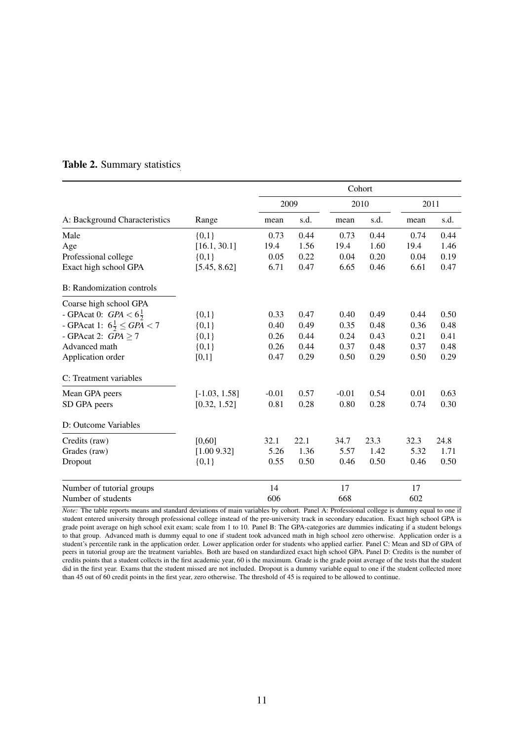|                                         |                 |         |      |         | Cohort |      |      |
|-----------------------------------------|-----------------|---------|------|---------|--------|------|------|
|                                         |                 |         | 2009 |         | 2010   |      | 2011 |
| A: Background Characteristics           | Range           | mean    | s.d. | mean    | s.d.   | mean | s.d. |
| Male                                    | ${0,1}$         | 0.73    | 0.44 | 0.73    | 0.44   | 0.74 | 0.44 |
| Age                                     | [16.1, 30.1]    | 19.4    | 1.56 | 19.4    | 1.60   | 19.4 | 1.46 |
| Professional college                    | ${0,1}$         | 0.05    | 0.22 | 0.04    | 0.20   | 0.04 | 0.19 |
| Exact high school GPA                   | [5.45, 8.62]    | 6.71    | 0.47 | 6.65    | 0.46   | 6.61 | 0.47 |
| B: Randomization controls               |                 |         |      |         |        |      |      |
| Coarse high school GPA                  |                 |         |      |         |        |      |      |
| - GPAcat 0: $GPA < 6\frac{1}{2}$        | ${0,1}$         | 0.33    | 0.47 | 0.40    | 0.49   | 0.44 | 0.50 |
| - GPAcat 1: $6\frac{1}{2} \leq GPA < 7$ | ${0,1}$         | 0.40    | 0.49 | 0.35    | 0.48   | 0.36 | 0.48 |
| - GPAcat 2: $GPA \ge 7$                 | ${0,1}$         | 0.26    | 0.44 | 0.24    | 0.43   | 0.21 | 0.41 |
| Advanced math                           | ${0,1}$         | 0.26    | 0.44 | 0.37    | 0.48   | 0.37 | 0.48 |
| Application order                       | [0,1]           | 0.47    | 0.29 | 0.50    | 0.29   | 0.50 | 0.29 |
| C: Treatment variables                  |                 |         |      |         |        |      |      |
| Mean GPA peers                          | $[-1.03, 1.58]$ | $-0.01$ | 0.57 | $-0.01$ | 0.54   | 0.01 | 0.63 |
| SD GPA peers                            | [0.32, 1.52]    | 0.81    | 0.28 | 0.80    | 0.28   | 0.74 | 0.30 |
| D: Outcome Variables                    |                 |         |      |         |        |      |      |
| Credits (raw)                           | [0,60]          | 32.1    | 22.1 | 34.7    | 23.3   | 32.3 | 24.8 |
| Grades (raw)                            | [1.009.32]      | 5.26    | 1.36 | 5.57    | 1.42   | 5.32 | 1.71 |
| Dropout                                 | ${0,1}$         | 0.55    | 0.50 | 0.46    | 0.50   | 0.46 | 0.50 |
| Number of tutorial groups               |                 | 14      |      | 17      |        | 17   |      |
| Number of students                      |                 | 606     |      | 668     |        | 602  |      |

### Table 2. Summary statistics

*Note:* The table reports means and standard deviations of main variables by cohort. Panel A: Professional college is dummy equal to one if student entered university through professional college instead of the pre-university track in secondary education. Exact high school GPA is grade point average on high school exit exam; scale from 1 to 10. Panel B: The GPA-categories are dummies indicating if a student belongs to that group. Advanced math is dummy equal to one if student took advanced math in high school zero otherwise. Application order is a student's percentile rank in the application order. Lower application order for students who applied earlier. Panel C: Mean and SD of GPA of peers in tutorial group are the treatment variables. Both are based on standardized exact high school GPA. Panel D: Credits is the number of credits points that a student collects in the first academic year, 60 is the maximum. Grade is the grade point average of the tests that the student did in the first year. Exams that the student missed are not included. Dropout is a dummy variable equal to one if the student collected more than 45 out of 60 credit points in the first year, zero otherwise. The threshold of 45 is required to be allowed to continue.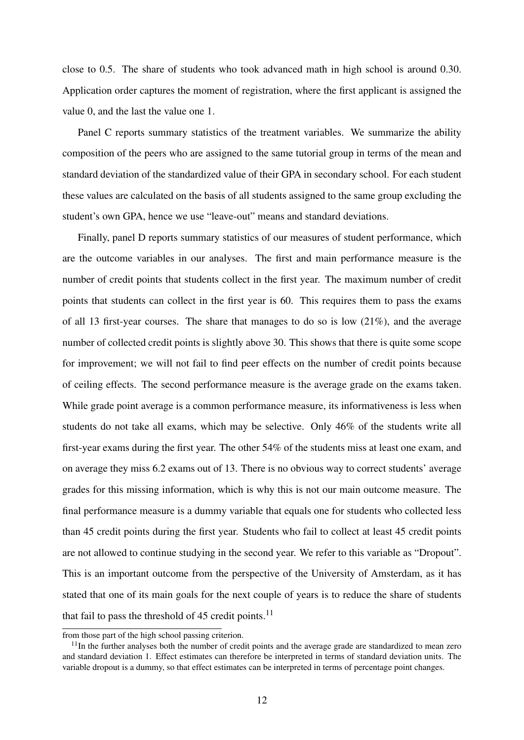close to 0.5. The share of students who took advanced math in high school is around 0.30. Application order captures the moment of registration, where the first applicant is assigned the value 0, and the last the value one 1.

Panel C reports summary statistics of the treatment variables. We summarize the ability composition of the peers who are assigned to the same tutorial group in terms of the mean and standard deviation of the standardized value of their GPA in secondary school. For each student these values are calculated on the basis of all students assigned to the same group excluding the student's own GPA, hence we use "leave-out" means and standard deviations.

Finally, panel D reports summary statistics of our measures of student performance, which are the outcome variables in our analyses. The first and main performance measure is the number of credit points that students collect in the first year. The maximum number of credit points that students can collect in the first year is 60. This requires them to pass the exams of all 13 first-year courses. The share that manages to do so is low (21%), and the average number of collected credit points is slightly above 30. This shows that there is quite some scope for improvement; we will not fail to find peer effects on the number of credit points because of ceiling effects. The second performance measure is the average grade on the exams taken. While grade point average is a common performance measure, its informativeness is less when students do not take all exams, which may be selective. Only 46% of the students write all first-year exams during the first year. The other 54% of the students miss at least one exam, and on average they miss 6.2 exams out of 13. There is no obvious way to correct students' average grades for this missing information, which is why this is not our main outcome measure. The final performance measure is a dummy variable that equals one for students who collected less than 45 credit points during the first year. Students who fail to collect at least 45 credit points are not allowed to continue studying in the second year. We refer to this variable as "Dropout". This is an important outcome from the perspective of the University of Amsterdam, as it has stated that one of its main goals for the next couple of years is to reduce the share of students that fail to pass the threshold of 45 credit points.<sup>11</sup>

from those part of the high school passing criterion.

 $11$ In the further analyses both the number of credit points and the average grade are standardized to mean zero and standard deviation 1. Effect estimates can therefore be interpreted in terms of standard deviation units. The variable dropout is a dummy, so that effect estimates can be interpreted in terms of percentage point changes.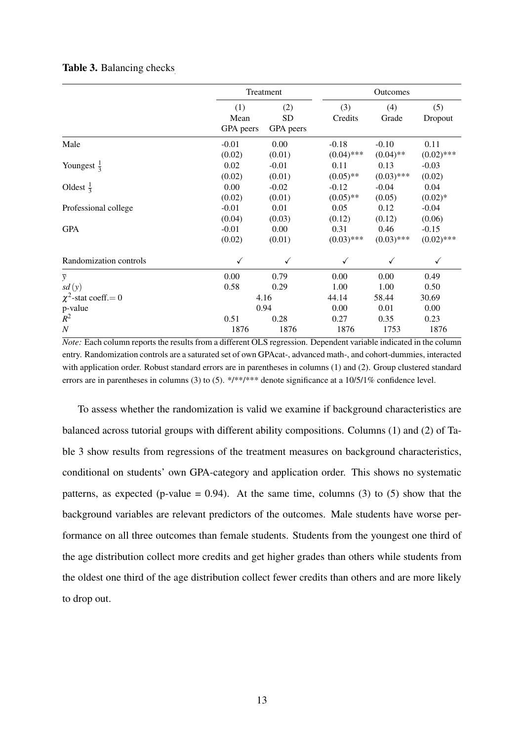|                           |                          | Treatment                     |                         | Outcomes               |                         |
|---------------------------|--------------------------|-------------------------------|-------------------------|------------------------|-------------------------|
|                           | (1)<br>Mean<br>GPA peers | (2)<br><b>SD</b><br>GPA peers | (3)<br>Credits          | (4)<br>Grade           | (5)<br>Dropout          |
| Male                      | $-0.01$<br>(0.02)        | 0.00<br>(0.01)                | $-0.18$<br>$(0.04)$ *** | $-0.10$<br>$(0.04)$ ** | 0.11<br>$(0.02)$ ***    |
| Youngest $\frac{1}{3}$    | 0.02<br>(0.02)           | $-0.01$<br>(0.01)             | 0.11<br>$(0.05)$ **     | 0.13<br>$(0.03)$ ***   | $-0.03$<br>(0.02)       |
| Oldest $\frac{1}{3}$      | 0.00<br>(0.02)           | $-0.02$<br>(0.01)             | $-0.12$<br>$(0.05)$ **  | $-0.04$<br>(0.05)      | 0.04<br>$(0.02)*$       |
| Professional college      | $-0.01$<br>(0.04)        | 0.01<br>(0.03)                | 0.05<br>(0.12)          | 0.12<br>(0.12)         | $-0.04$<br>(0.06)       |
| <b>GPA</b>                | $-0.01$<br>(0.02)        | 0.00<br>(0.01)                | 0.31<br>$(0.03)$ ***    | 0.46<br>$(0.03)$ ***   | $-0.15$<br>$(0.02)$ *** |
| Randomization controls    | ✓                        | ✓                             |                         |                        | ✓                       |
| $\overline{y}$            | 0.00                     | 0.79                          | 0.00                    | 0.00                   | 0.49                    |
| sd(y)                     | 0.58                     | 0.29                          | 1.00                    | 1.00                   | 0.50                    |
| $\chi^2$ -stat coeff. = 0 |                          | 4.16                          | 44.14                   | 58.44                  | 30.69                   |
| p-value                   |                          | 0.94                          | 0.00                    | 0.01                   | 0.00                    |
| $R^2$                     | 0.51                     | 0.28                          | 0.27                    | 0.35                   | 0.23                    |
| $\boldsymbol{N}$          | 1876                     | 1876                          | 1876                    | 1753                   | 1876                    |

### Table 3. Balancing checks

*Note:* Each column reports the results from a different OLS regression. Dependent variable indicated in the column entry. Randomization controls are a saturated set of own GPAcat-, advanced math-, and cohort-dummies, interacted with application order. Robust standard errors are in parentheses in columns (1) and (2). Group clustered standard errors are in parentheses in columns (3) to (5). \*/\*\*/\*\*\* denote significance at a 10/5/1% confidence level.

To assess whether the randomization is valid we examine if background characteristics are balanced across tutorial groups with different ability compositions. Columns (1) and (2) of Table 3 show results from regressions of the treatment measures on background characteristics, conditional on students' own GPA-category and application order. This shows no systematic patterns, as expected (p-value  $= 0.94$ ). At the same time, columns (3) to (5) show that the background variables are relevant predictors of the outcomes. Male students have worse performance on all three outcomes than female students. Students from the youngest one third of the age distribution collect more credits and get higher grades than others while students from the oldest one third of the age distribution collect fewer credits than others and are more likely to drop out.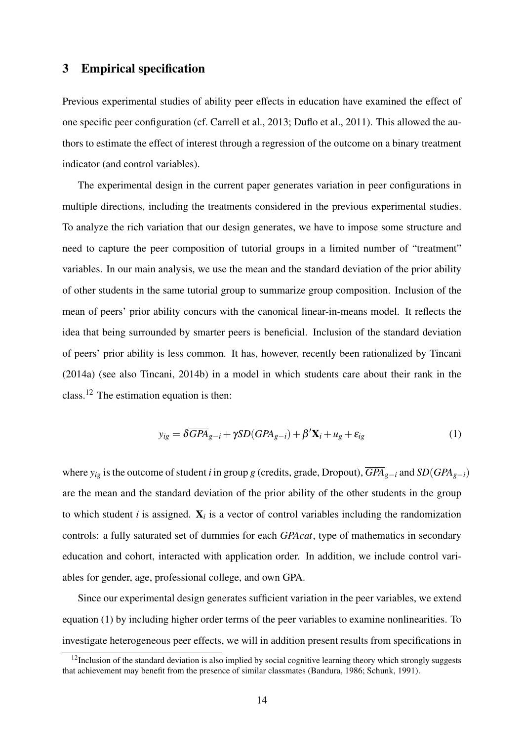## 3 Empirical specification

Previous experimental studies of ability peer effects in education have examined the effect of one specific peer configuration (cf. Carrell et al., 2013; Duflo et al., 2011). This allowed the authors to estimate the effect of interest through a regression of the outcome on a binary treatment indicator (and control variables).

The experimental design in the current paper generates variation in peer configurations in multiple directions, including the treatments considered in the previous experimental studies. To analyze the rich variation that our design generates, we have to impose some structure and need to capture the peer composition of tutorial groups in a limited number of "treatment" variables. In our main analysis, we use the mean and the standard deviation of the prior ability of other students in the same tutorial group to summarize group composition. Inclusion of the mean of peers' prior ability concurs with the canonical linear-in-means model. It reflects the idea that being surrounded by smarter peers is beneficial. Inclusion of the standard deviation of peers' prior ability is less common. It has, however, recently been rationalized by Tincani (2014a) (see also Tincani, 2014b) in a model in which students care about their rank in the class.<sup>12</sup> The estimation equation is then:

$$
y_{ig} = \delta \overline{GPA}_{g-i} + \gamma SD(GPA_{g-i}) + \beta' \mathbf{X}_i + u_g + \varepsilon_{ig}
$$
 (1)

where  $y_{ig}$  is the outcome of student *i* in group *g* (credits, grade, Dropout),  $\overline{GPA}_{g-i}$  and  $SD(GPA_{g-i})$ are the mean and the standard deviation of the prior ability of the other students in the group to which student  $i$  is assigned.  $\mathbf{X}_i$  is a vector of control variables including the randomization controls: a fully saturated set of dummies for each *GPAcat*, type of mathematics in secondary education and cohort, interacted with application order. In addition, we include control variables for gender, age, professional college, and own GPA.

Since our experimental design generates sufficient variation in the peer variables, we extend equation (1) by including higher order terms of the peer variables to examine nonlinearities. To investigate heterogeneous peer effects, we will in addition present results from specifications in

 $12$ Inclusion of the standard deviation is also implied by social cognitive learning theory which strongly suggests that achievement may benefit from the presence of similar classmates (Bandura, 1986; Schunk, 1991).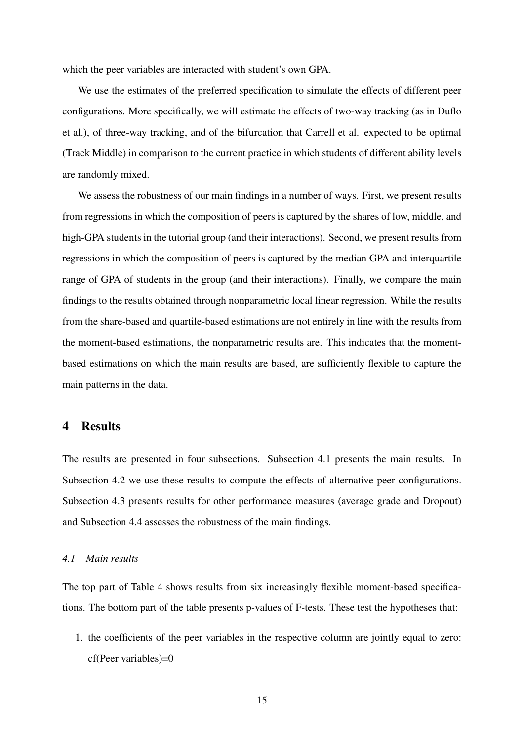which the peer variables are interacted with student's own GPA.

We use the estimates of the preferred specification to simulate the effects of different peer configurations. More specifically, we will estimate the effects of two-way tracking (as in Duflo et al.), of three-way tracking, and of the bifurcation that Carrell et al. expected to be optimal (Track Middle) in comparison to the current practice in which students of different ability levels are randomly mixed.

We assess the robustness of our main findings in a number of ways. First, we present results from regressions in which the composition of peers is captured by the shares of low, middle, and high-GPA students in the tutorial group (and their interactions). Second, we present results from regressions in which the composition of peers is captured by the median GPA and interquartile range of GPA of students in the group (and their interactions). Finally, we compare the main findings to the results obtained through nonparametric local linear regression. While the results from the share-based and quartile-based estimations are not entirely in line with the results from the moment-based estimations, the nonparametric results are. This indicates that the momentbased estimations on which the main results are based, are sufficiently flexible to capture the main patterns in the data.

### 4 Results

The results are presented in four subsections. Subsection 4.1 presents the main results. In Subsection 4.2 we use these results to compute the effects of alternative peer configurations. Subsection 4.3 presents results for other performance measures (average grade and Dropout) and Subsection 4.4 assesses the robustness of the main findings.

#### *4.1 Main results*

The top part of Table 4 shows results from six increasingly flexible moment-based specifications. The bottom part of the table presents p-values of F-tests. These test the hypotheses that:

1. the coefficients of the peer variables in the respective column are jointly equal to zero: cf(Peer variables)=0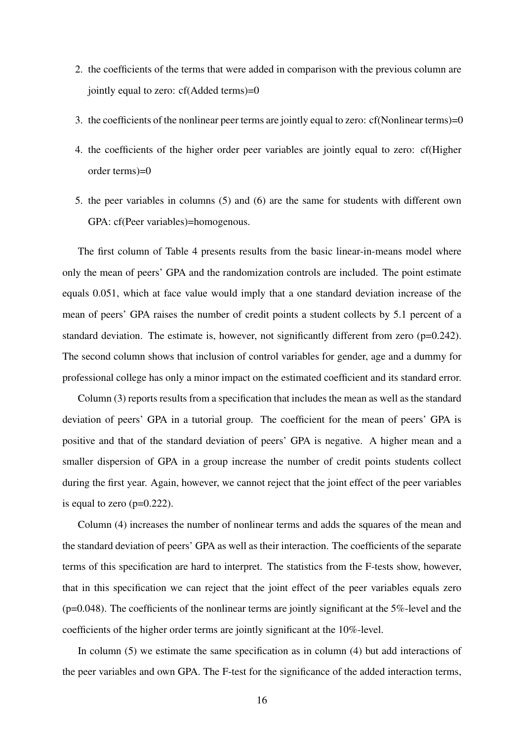- 2. the coefficients of the terms that were added in comparison with the previous column are jointly equal to zero: cf(Added terms)=0
- 3. the coefficients of the nonlinear peer terms are jointly equal to zero: cf(Nonlinear terms)=0
- 4. the coefficients of the higher order peer variables are jointly equal to zero: cf(Higher order terms)=0
- 5. the peer variables in columns (5) and (6) are the same for students with different own GPA: cf(Peer variables)=homogenous.

The first column of Table 4 presents results from the basic linear-in-means model where only the mean of peers' GPA and the randomization controls are included. The point estimate equals 0.051, which at face value would imply that a one standard deviation increase of the mean of peers' GPA raises the number of credit points a student collects by 5.1 percent of a standard deviation. The estimate is, however, not significantly different from zero  $(p=0.242)$ . The second column shows that inclusion of control variables for gender, age and a dummy for professional college has only a minor impact on the estimated coefficient and its standard error.

Column (3) reports results from a specification that includes the mean as well as the standard deviation of peers' GPA in a tutorial group. The coefficient for the mean of peers' GPA is positive and that of the standard deviation of peers' GPA is negative. A higher mean and a smaller dispersion of GPA in a group increase the number of credit points students collect during the first year. Again, however, we cannot reject that the joint effect of the peer variables is equal to zero  $(p=0.222)$ .

Column (4) increases the number of nonlinear terms and adds the squares of the mean and the standard deviation of peers' GPA as well as their interaction. The coefficients of the separate terms of this specification are hard to interpret. The statistics from the F-tests show, however, that in this specification we can reject that the joint effect of the peer variables equals zero  $(p=0.048)$ . The coefficients of the nonlinear terms are jointly significant at the 5%-level and the coefficients of the higher order terms are jointly significant at the 10%-level.

In column (5) we estimate the same specification as in column (4) but add interactions of the peer variables and own GPA. The F-test for the significance of the added interaction terms,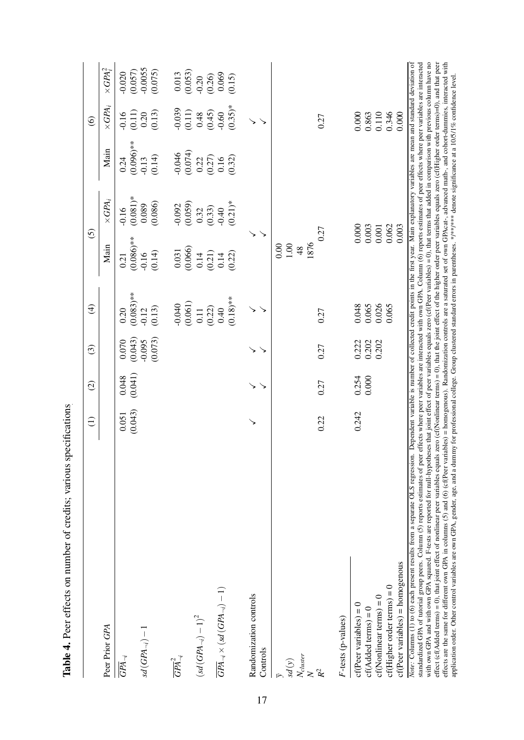|                                                                                                                                                                                                                                                                                                                                                                                                                                                                                                                                                                                                                                                                                                                                                                                                                                                                                                                                                                                                                                                                                                                                                                                                                                                                                                                                                                      | $\widehat{\Xi}$ | $\widehat{\infty}$ | $\odot$                 | $\bigoplus$                       | $\overline{6}$                                         |                                |                                                               | $\circledcirc$                                          |                                                          |
|----------------------------------------------------------------------------------------------------------------------------------------------------------------------------------------------------------------------------------------------------------------------------------------------------------------------------------------------------------------------------------------------------------------------------------------------------------------------------------------------------------------------------------------------------------------------------------------------------------------------------------------------------------------------------------------------------------------------------------------------------------------------------------------------------------------------------------------------------------------------------------------------------------------------------------------------------------------------------------------------------------------------------------------------------------------------------------------------------------------------------------------------------------------------------------------------------------------------------------------------------------------------------------------------------------------------------------------------------------------------|-----------------|--------------------|-------------------------|-----------------------------------|--------------------------------------------------------|--------------------------------|---------------------------------------------------------------|---------------------------------------------------------|----------------------------------------------------------|
| Peer Prior GPA                                                                                                                                                                                                                                                                                                                                                                                                                                                                                                                                                                                                                                                                                                                                                                                                                                                                                                                                                                                                                                                                                                                                                                                                                                                                                                                                                       |                 |                    |                         |                                   | Main                                                   | $\times GPA_i$                 | Main                                                          | $\times GPA_i$                                          | $\times GPA_i^2$                                         |
| $\overline{GPA}_{\neg i}$                                                                                                                                                                                                                                                                                                                                                                                                                                                                                                                                                                                                                                                                                                                                                                                                                                                                                                                                                                                                                                                                                                                                                                                                                                                                                                                                            | 0.051           | 0.048              | (0.070)                 | 0.20                              | 0.21                                                   | 0.16                           | 0.24                                                          | $-0.16$                                                 | $-0.020$                                                 |
| $sd(GPA_{\neg i}) - 1$                                                                                                                                                                                                                                                                                                                                                                                                                                                                                                                                                                                                                                                                                                                                                                                                                                                                                                                                                                                                                                                                                                                                                                                                                                                                                                                                               | (0.043)         | (0.041)            | (0.073)<br>$-0.095$     | $(0.083)$ **<br>(0.13)<br>$-0.12$ | $0.086$ <sup>**</sup><br>(0.14)<br>$-0.16$             | $(0.081)*$<br>0.089<br>0.086)  | $(0.096)$ **<br>(0.14)<br>$-0.13$                             | $\begin{array}{c} (0.11) \\ 0.20 \end{array}$<br>(0.13) | $(0.057)$<br>$-0.0055$<br>$(0.075)$                      |
| $\overline{GPA}_{\neg i}^2$                                                                                                                                                                                                                                                                                                                                                                                                                                                                                                                                                                                                                                                                                                                                                                                                                                                                                                                                                                                                                                                                                                                                                                                                                                                                                                                                          |                 |                    |                         | $-0.040$                          | 0.031                                                  | $-0.092$                       | $-0.046$                                                      | $-0.039$                                                | $\begin{array}{c} 0.013 \\ (0.053) \end{array}$          |
| $\left(sd\left(GPA_{\lnot i}\right)-1\right)^2$                                                                                                                                                                                                                                                                                                                                                                                                                                                                                                                                                                                                                                                                                                                                                                                                                                                                                                                                                                                                                                                                                                                                                                                                                                                                                                                      |                 |                    |                         | (0.061)<br>0.11                   | (0.066)<br>0.14                                        | (0.059)<br>0.32                | (0.074)                                                       | (0.11)                                                  | $-0.20$                                                  |
| $\overline{GPA}_{\neg i} \times (sd\left(GPA_{\neg i}\right)-1)$                                                                                                                                                                                                                                                                                                                                                                                                                                                                                                                                                                                                                                                                                                                                                                                                                                                                                                                                                                                                                                                                                                                                                                                                                                                                                                     |                 |                    |                         | $(0.18)$ **<br>(0.22)<br>0.40     | (0.21)<br>(0.22)<br>0.14                               | $(0.21)*$<br>(0.33)<br>$-0.40$ | $\begin{array}{c} 0.22 \\ 0.27) \\ 0.16 \\ 0.32) \end{array}$ | $(0.35)*$<br>$(0.45)$<br>$(0.45)$                       | $\begin{array}{c} (0.26) \\ 0.069 \\ (0.15) \end{array}$ |
| Randomization controls<br>Controls                                                                                                                                                                                                                                                                                                                                                                                                                                                                                                                                                                                                                                                                                                                                                                                                                                                                                                                                                                                                                                                                                                                                                                                                                                                                                                                                   |                 |                    |                         |                                   |                                                        |                                |                                                               |                                                         |                                                          |
| $\frac{N_{cluster}}{N}$<br>$sd\left( y\right)$                                                                                                                                                                                                                                                                                                                                                                                                                                                                                                                                                                                                                                                                                                                                                                                                                                                                                                                                                                                                                                                                                                                                                                                                                                                                                                                       | 0.22            | 0.27               | 0.27                    | 0.27                              | 0.27<br>1876<br>0.00<br>$1.00\,$<br>48                 |                                |                                                               | 0.27                                                    |                                                          |
| F-tests (p-values)                                                                                                                                                                                                                                                                                                                                                                                                                                                                                                                                                                                                                                                                                                                                                                                                                                                                                                                                                                                                                                                                                                                                                                                                                                                                                                                                                   |                 |                    |                         |                                   |                                                        |                                |                                                               |                                                         |                                                          |
| $cf(Nonlinear terms) = 0$<br>$cf(Peer variables) = 0$<br>$cf(Added terms) = 0$                                                                                                                                                                                                                                                                                                                                                                                                                                                                                                                                                                                                                                                                                                                                                                                                                                                                                                                                                                                                                                                                                                                                                                                                                                                                                       | 0.242           | 0.254<br>0.000     | 0.222<br>0.202<br>0.202 | 0.065<br>0.026<br>0.048           | $\begin{array}{c} 0.000 \\ 0.003 \\ 0.001 \end{array}$ |                                |                                                               | 0.110<br>0.000<br>0.863                                 |                                                          |
| $cf(Peer variables) = homogenous$<br>$cf(Higher order terms) = 0$                                                                                                                                                                                                                                                                                                                                                                                                                                                                                                                                                                                                                                                                                                                                                                                                                                                                                                                                                                                                                                                                                                                                                                                                                                                                                                    |                 |                    |                         | 0.065                             | 0.062<br>0.003                                         |                                |                                                               | 0.346<br>0.000                                          |                                                          |
| effect (cf(Added terms) = 0), that joint effect of nonlinear peer variables equals zero (cf(Nonlinear terms) = 0), that the joint effect of the higher order peer variables equals zero (cf(Higher order terms)=0), and that<br>with own GPA and with own GPA squared. F-tests are reported for null-hypotheses that joint effect of peer variables equals zero (cf(Peer variables) = 0), that terms that added in comparison with previous column have no<br>standardized GPA of tutorial group peers. Column (5) reports estimates of peer effects where peer variables are interacted with own GPA. Column (6) reports estimates of peer effects where peer variables are interacted<br>effects are the same for different own GPA in columns (5) and (6) (cf(Peer variables) = homogenous). Randomization controls are a saturated set of own GPAcat-, advanced math-, and cohort-dummies, interacted with<br>Note: Columns (1) to (6) each present results from a separate OLS regression. Dependent variable is number of collected credit points in the first year. Main explanatory variables are mean and standard deviation of<br>application order. Other control variables are own GPA, gender, age, and a dummy for professional college. Group clustered standard errors in parentheses. */***/4*** denote significance at a 10/5/1% confidence level. |                 |                    |                         |                                   |                                                        |                                |                                                               |                                                         |                                                          |

Table 4. Peer effects on number of credits; various specifications Table 4. Peer effects on number of credits; various specifications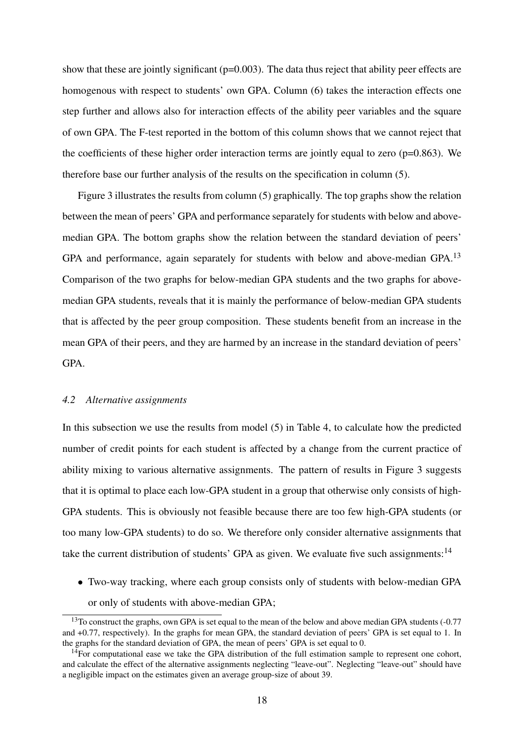show that these are jointly significant (p=0.003). The data thus reject that ability peer effects are homogenous with respect to students' own GPA. Column (6) takes the interaction effects one step further and allows also for interaction effects of the ability peer variables and the square of own GPA. The F-test reported in the bottom of this column shows that we cannot reject that the coefficients of these higher order interaction terms are jointly equal to zero ( $p=0.863$ ). We therefore base our further analysis of the results on the specification in column (5).

Figure 3 illustrates the results from column (5) graphically. The top graphs show the relation between the mean of peers' GPA and performance separately for students with below and abovemedian GPA. The bottom graphs show the relation between the standard deviation of peers' GPA and performance, again separately for students with below and above-median GPA.<sup>13</sup> Comparison of the two graphs for below-median GPA students and the two graphs for abovemedian GPA students, reveals that it is mainly the performance of below-median GPA students that is affected by the peer group composition. These students benefit from an increase in the mean GPA of their peers, and they are harmed by an increase in the standard deviation of peers' GPA.

#### *4.2 Alternative assignments*

In this subsection we use the results from model (5) in Table 4, to calculate how the predicted number of credit points for each student is affected by a change from the current practice of ability mixing to various alternative assignments. The pattern of results in Figure 3 suggests that it is optimal to place each low-GPA student in a group that otherwise only consists of high-GPA students. This is obviously not feasible because there are too few high-GPA students (or too many low-GPA students) to do so. We therefore only consider alternative assignments that take the current distribution of students' GPA as given. We evaluate five such assignments: $14$ 

• Two-way tracking, where each group consists only of students with below-median GPA or only of students with above-median GPA;

<sup>&</sup>lt;sup>13</sup>To construct the graphs, own GPA is set equal to the mean of the below and above median GPA students (-0.77) and +0.77, respectively). In the graphs for mean GPA, the standard deviation of peers' GPA is set equal to 1. In the graphs for the standard deviation of GPA, the mean of peers' GPA is set equal to 0.

 $14$ For computational ease we take the GPA distribution of the full estimation sample to represent one cohort, and calculate the effect of the alternative assignments neglecting "leave-out". Neglecting "leave-out" should have a negligible impact on the estimates given an average group-size of about 39.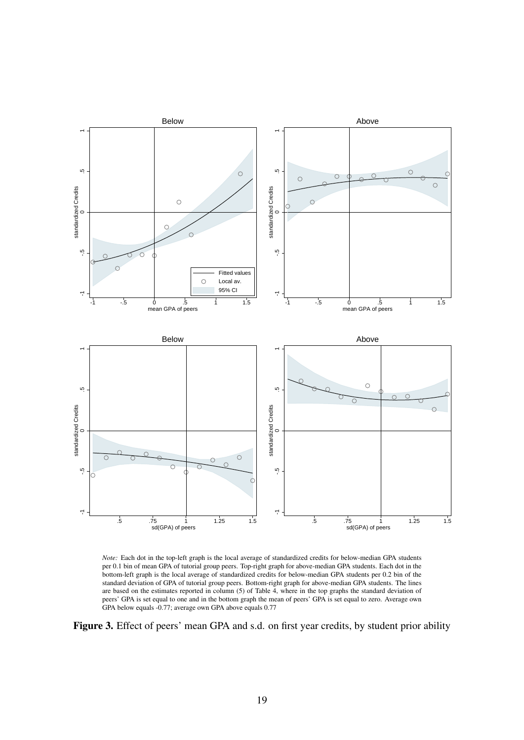

*Note:* Each dot in the top-left graph is the local average of standardized credits for below-median GPA students per 0.1 bin of mean GPA of tutorial group peers. Top-right graph for above-median GPA students. Each dot in the bottom-left graph is the local average of standardized credits for below-median GPA students per 0.2 bin of the standard deviation of GPA of tutorial group peers. Bottom-right graph for above-median GPA students. The lines are based on the estimates reported in column (5) of Table 4, where in the top graphs the standard deviation of peers' GPA is set equal to one and in the bottom graph the mean of peers' GPA is set equal to zero. Average own GPA below equals -0.77; average own GPA above equals 0.77

Figure 3. Effect of peers' mean GPA and s.d. on first year credits, by student prior ability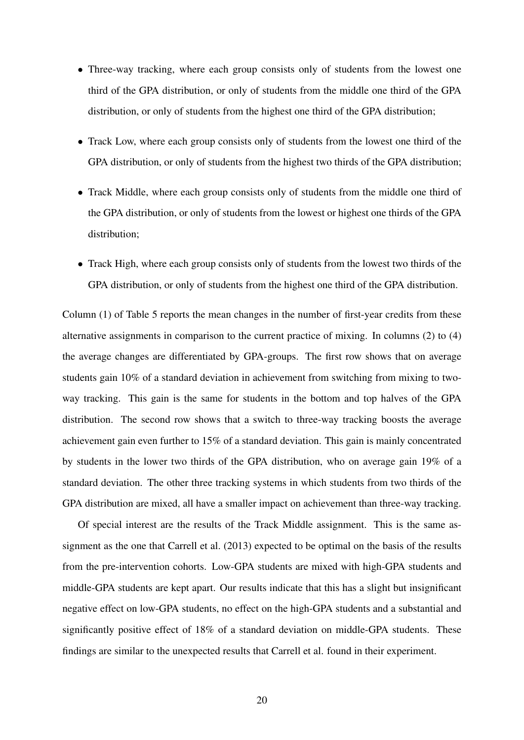- Three-way tracking, where each group consists only of students from the lowest one third of the GPA distribution, or only of students from the middle one third of the GPA distribution, or only of students from the highest one third of the GPA distribution;
- Track Low, where each group consists only of students from the lowest one third of the GPA distribution, or only of students from the highest two thirds of the GPA distribution;
- Track Middle, where each group consists only of students from the middle one third of the GPA distribution, or only of students from the lowest or highest one thirds of the GPA distribution;
- Track High, where each group consists only of students from the lowest two thirds of the GPA distribution, or only of students from the highest one third of the GPA distribution.

Column (1) of Table 5 reports the mean changes in the number of first-year credits from these alternative assignments in comparison to the current practice of mixing. In columns (2) to (4) the average changes are differentiated by GPA-groups. The first row shows that on average students gain 10% of a standard deviation in achievement from switching from mixing to twoway tracking. This gain is the same for students in the bottom and top halves of the GPA distribution. The second row shows that a switch to three-way tracking boosts the average achievement gain even further to 15% of a standard deviation. This gain is mainly concentrated by students in the lower two thirds of the GPA distribution, who on average gain 19% of a standard deviation. The other three tracking systems in which students from two thirds of the GPA distribution are mixed, all have a smaller impact on achievement than three-way tracking.

Of special interest are the results of the Track Middle assignment. This is the same assignment as the one that Carrell et al. (2013) expected to be optimal on the basis of the results from the pre-intervention cohorts. Low-GPA students are mixed with high-GPA students and middle-GPA students are kept apart. Our results indicate that this has a slight but insignificant negative effect on low-GPA students, no effect on the high-GPA students and a substantial and significantly positive effect of 18% of a standard deviation on middle-GPA students. These findings are similar to the unexpected results that Carrell et al. found in their experiment.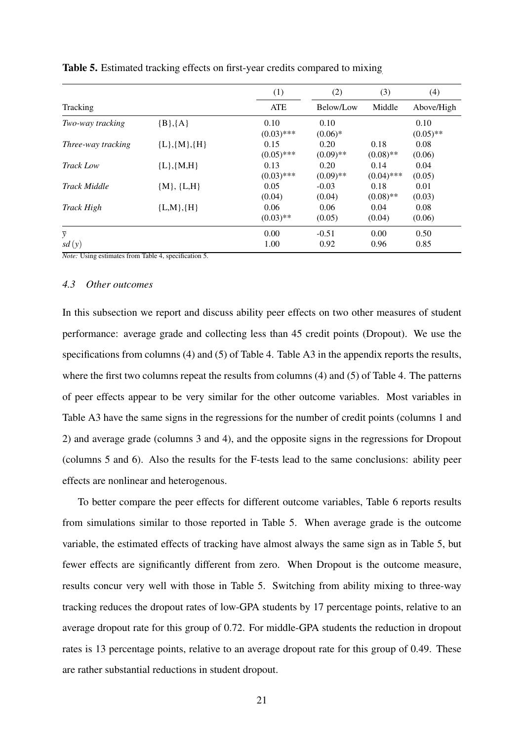|                     |                 | (1)          | (2)         | (3)          | (4)         |
|---------------------|-----------------|--------------|-------------|--------------|-------------|
| Tracking            |                 | <b>ATE</b>   | Below/Low   | Middle       | Above/High  |
| Two-way tracking    | ${B}, {A}$      | 0.10         | 0.10        |              | 0.10        |
|                     |                 | $(0.03)$ *** | $(0.06)*$   |              | $(0.05)$ ** |
| Three-way tracking  | ${L}, {M}, {H}$ | 0.15         | 0.20        | 0.18         | 0.08        |
|                     |                 | $(0.05)$ *** | $(0.09)$ ** | $(0.08)$ **  | (0.06)      |
| <b>Track Low</b>    | ${L}, {M,H}$    | 0.13         | 0.20        | 0.14         | 0.04        |
|                     |                 | $(0.03)$ *** | $(0.09)$ ** | $(0.04)$ *** | (0.05)      |
| <b>Track Middle</b> | ${M}, {L,H}$    | 0.05         | $-0.03$     | 0.18         | 0.01        |
|                     |                 | (0.04)       | (0.04)      | $(0.08)$ **  | (0.03)      |
| Track High          | ${L,M}, {H}$    | 0.06         | 0.06        | 0.04         | 0.08        |
|                     |                 | $(0.03)$ **  | (0.05)      | (0.04)       | (0.06)      |
| $\overline{y}$      |                 | 0.00         | $-0.51$     | 0.00         | 0.50        |
| sd(y)               |                 | 1.00         | 0.92        | 0.96         | 0.85        |

Table 5. Estimated tracking effects on first-year credits compared to mixing

*Note:* Using estimates from Table 4, specification 5.

### *4.3 Other outcomes*

In this subsection we report and discuss ability peer effects on two other measures of student performance: average grade and collecting less than 45 credit points (Dropout). We use the specifications from columns (4) and (5) of Table 4. Table A3 in the appendix reports the results, where the first two columns repeat the results from columns (4) and (5) of Table 4. The patterns of peer effects appear to be very similar for the other outcome variables. Most variables in Table A3 have the same signs in the regressions for the number of credit points (columns 1 and 2) and average grade (columns 3 and 4), and the opposite signs in the regressions for Dropout (columns 5 and 6). Also the results for the F-tests lead to the same conclusions: ability peer effects are nonlinear and heterogenous.

To better compare the peer effects for different outcome variables, Table 6 reports results from simulations similar to those reported in Table 5. When average grade is the outcome variable, the estimated effects of tracking have almost always the same sign as in Table 5, but fewer effects are significantly different from zero. When Dropout is the outcome measure, results concur very well with those in Table 5. Switching from ability mixing to three-way tracking reduces the dropout rates of low-GPA students by 17 percentage points, relative to an average dropout rate for this group of 0.72. For middle-GPA students the reduction in dropout rates is 13 percentage points, relative to an average dropout rate for this group of 0.49. These are rather substantial reductions in student dropout.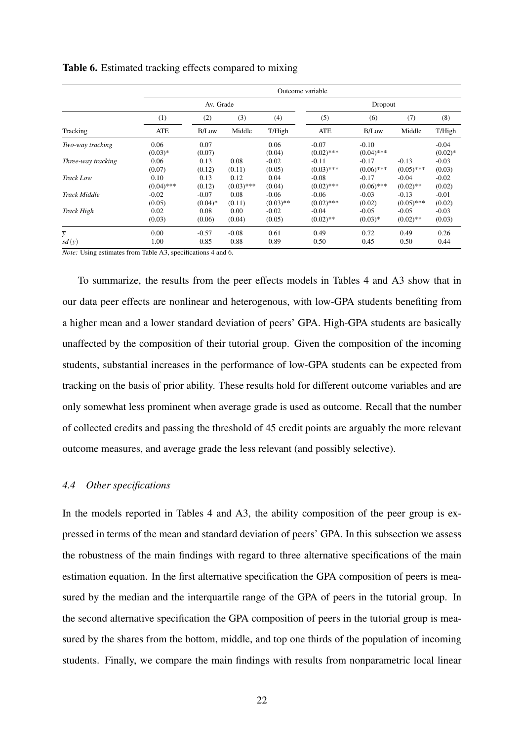|                     |              |           |              |             | Outcome variable |              |              |           |
|---------------------|--------------|-----------|--------------|-------------|------------------|--------------|--------------|-----------|
|                     |              | Av. Grade |              |             |                  | Dropout      |              |           |
|                     | (1)          | (2)       | (3)          | (4)         | (5)              | (6)          | (7)          | (8)       |
| Tracking            | <b>ATE</b>   | B/Low     | Middle       | T/High      | ATE              | <b>B/Low</b> | Middle       | T/High    |
| Two-way tracking    | 0.06         | 0.07      |              | 0.06        | $-0.07$          | $-0.10$      |              | $-0.04$   |
|                     | $(0.03)*$    | (0.07)    |              | (0.04)      | $(0.02)$ ***     | $(0.04)$ *** |              | $(0.02)*$ |
| Three-way tracking  | 0.06         | 0.13      | 0.08         | $-0.02$     | $-0.11$          | $-0.17$      | $-0.13$      | $-0.03$   |
|                     | (0.07)       | (0.12)    | (0.11)       | (0.05)      | $(0.03)$ ***     | $(0.06)$ *** | $(0.05)$ *** | (0.03)    |
| Track Low           | 0.10         | 0.13      | 0.12         | 0.04        | $-0.08$          | $-0.17$      | $-0.04$      | $-0.02$   |
|                     | $(0.04)$ *** | (0.12)    | $(0.03)$ *** | (0.04)      | $(0.02)$ ***     | $(0.06)$ *** | $(0.02)$ **  | (0.02)    |
| <b>Track Middle</b> | $-0.02$      | $-0.07$   | 0.08         | $-0.06$     | $-0.06$          | $-0.03$      | $-0.13$      | $-0.01$   |
|                     | (0.05)       | $(0.04)*$ | (0.11)       | $(0.03)$ ** | $(0.02)$ ***     | (0.02)       | $(0.05)$ *** | (0.02)    |
| Track High          | 0.02         | 0.08      | 0.00         | $-0.02$     | $-0.04$          | $-0.05$      | $-0.05$      | $-0.03$   |
|                     | (0.03)       | (0.06)    | (0.04)       | (0.05)      | $(0.02)$ **      | $(0.03)*$    | $(0.02)$ **  | (0.03)    |
| $\overline{y}$      | 0.00         | $-0.57$   | $-0.08$      | 0.61        | 0.49             | 0.72         | 0.49         | 0.26      |
| sd(y)               | 1.00         | 0.85      | 0.88         | 0.89        | 0.50             | 0.45         | 0.50         | 0.44      |

Table 6. Estimated tracking effects compared to mixing

*Note:* Using estimates from Table A3, specifications 4 and 6.

To summarize, the results from the peer effects models in Tables 4 and A3 show that in our data peer effects are nonlinear and heterogenous, with low-GPA students benefiting from a higher mean and a lower standard deviation of peers' GPA. High-GPA students are basically unaffected by the composition of their tutorial group. Given the composition of the incoming students, substantial increases in the performance of low-GPA students can be expected from tracking on the basis of prior ability. These results hold for different outcome variables and are only somewhat less prominent when average grade is used as outcome. Recall that the number of collected credits and passing the threshold of 45 credit points are arguably the more relevant outcome measures, and average grade the less relevant (and possibly selective).

#### *4.4 Other specifications*

In the models reported in Tables 4 and A3, the ability composition of the peer group is expressed in terms of the mean and standard deviation of peers' GPA. In this subsection we assess the robustness of the main findings with regard to three alternative specifications of the main estimation equation. In the first alternative specification the GPA composition of peers is measured by the median and the interquartile range of the GPA of peers in the tutorial group. In the second alternative specification the GPA composition of peers in the tutorial group is measured by the shares from the bottom, middle, and top one thirds of the population of incoming students. Finally, we compare the main findings with results from nonparametric local linear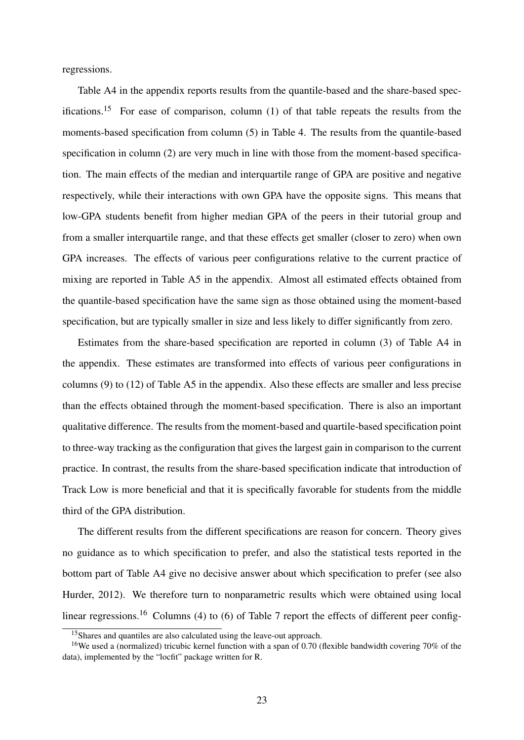regressions.

Table A4 in the appendix reports results from the quantile-based and the share-based specifications.<sup>15</sup> For ease of comparison, column  $(1)$  of that table repeats the results from the moments-based specification from column (5) in Table 4. The results from the quantile-based specification in column (2) are very much in line with those from the moment-based specification. The main effects of the median and interquartile range of GPA are positive and negative respectively, while their interactions with own GPA have the opposite signs. This means that low-GPA students benefit from higher median GPA of the peers in their tutorial group and from a smaller interquartile range, and that these effects get smaller (closer to zero) when own GPA increases. The effects of various peer configurations relative to the current practice of mixing are reported in Table A5 in the appendix. Almost all estimated effects obtained from the quantile-based specification have the same sign as those obtained using the moment-based specification, but are typically smaller in size and less likely to differ significantly from zero.

Estimates from the share-based specification are reported in column (3) of Table A4 in the appendix. These estimates are transformed into effects of various peer configurations in columns (9) to (12) of Table A5 in the appendix. Also these effects are smaller and less precise than the effects obtained through the moment-based specification. There is also an important qualitative difference. The results from the moment-based and quartile-based specification point to three-way tracking as the configuration that gives the largest gain in comparison to the current practice. In contrast, the results from the share-based specification indicate that introduction of Track Low is more beneficial and that it is specifically favorable for students from the middle third of the GPA distribution.

The different results from the different specifications are reason for concern. Theory gives no guidance as to which specification to prefer, and also the statistical tests reported in the bottom part of Table A4 give no decisive answer about which specification to prefer (see also Hurder, 2012). We therefore turn to nonparametric results which were obtained using local linear regressions.<sup>16</sup> Columns (4) to (6) of Table 7 report the effects of different peer config-

<sup>&</sup>lt;sup>15</sup>Shares and quantiles are also calculated using the leave-out approach.

<sup>&</sup>lt;sup>16</sup>We used a (normalized) tricubic kernel function with a span of 0.70 (flexible bandwidth covering 70% of the data), implemented by the "locfit" package written for R.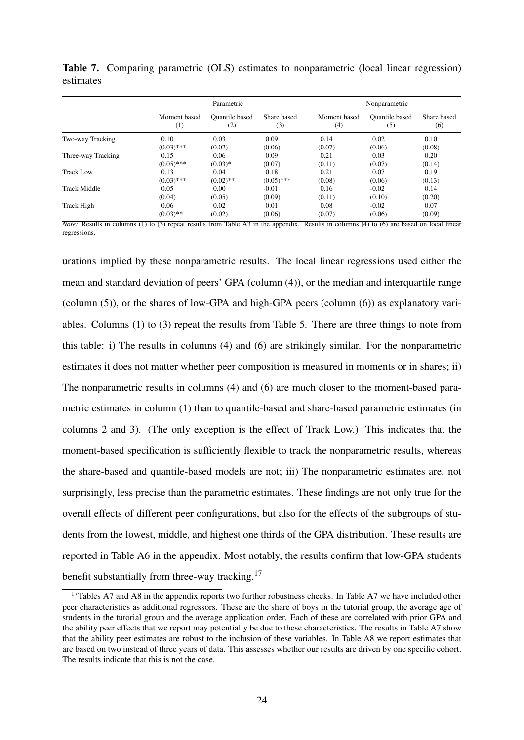|                     |              | Parametric            |              |              | Nonparametric         |             |
|---------------------|--------------|-----------------------|--------------|--------------|-----------------------|-------------|
|                     | Moment based | <b>Ouantile based</b> | Share based  | Moment based | <b>Ouantile based</b> | Share based |
|                     | (1)          | $\rm(2)$              | (3)          | (4)          | (5)                   | (6)         |
| Two-way Tracking    | 0.10         | 0.03                  | 0.09         | 0.14         | 0.02                  | 0.10        |
|                     | $(0.03)$ *** | (0.02)                | (0.06)       | (0.07)       | (0.06)                | (0.08)      |
| Three-way Tracking  | 0.15         | 0.06                  | 0.09         | 0.21         | 0.03                  | 0.20        |
|                     | $(0.05)$ *** | $(0.03)*$             | (0.07)       | (0.11)       | (0.07)                | (0.14)      |
| Track Low           | 0.13         | 0.04                  | 0.18         | 0.21         | 0.07                  | 0.19        |
|                     | $(0.03)$ *** | $(0.02)$ **           | $(0.05)$ *** | (0.08)       | (0.06)                | (0.13)      |
| <b>Track Middle</b> | 0.05         | 0.00                  | $-0.01$      | 0.16         | $-0.02$               | 0.14        |
|                     | (0.04)       | (0.05)                | (0.09)       | (0.11)       | (0.10)                | (0.20)      |
| Track High          | 0.06         | 0.02                  | 0.01         | 0.08         | $-0.02$               | 0.07        |
|                     | $(0.03)$ **  | (0.02)                | (0.06)       | (0.07)       | (0.06)                | (0.09)      |

Table 7. Comparing parametric (OLS) estimates to nonparametric (local linear regression) estimates

*Note:* Results in columns (1) to (3) repeat results from Table A3 in the appendix. Results in columns (4) to (6) are based on local linear regressions.

urations implied by these nonparametric results. The local linear regressions used either the mean and standard deviation of peers' GPA (column (4)), or the median and interquartile range (column (5)), or the shares of low-GPA and high-GPA peers (column (6)) as explanatory variables. Columns (1) to (3) repeat the results from Table 5. There are three things to note from this table: i) The results in columns (4) and (6) are strikingly similar. For the nonparametric estimates it does not matter whether peer composition is measured in moments or in shares; ii) The nonparametric results in columns (4) and (6) are much closer to the moment-based parametric estimates in column (1) than to quantile-based and share-based parametric estimates (in columns 2 and 3). (The only exception is the effect of Track Low.) This indicates that the moment-based specification is sufficiently flexible to track the nonparametric results, whereas the share-based and quantile-based models are not; iii) The nonparametric estimates are, not surprisingly, less precise than the parametric estimates. These findings are not only true for the overall effects of different peer configurations, but also for the effects of the subgroups of students from the lowest, middle, and highest one thirds of the GPA distribution. These results are reported in Table A6 in the appendix. Most notably, the results confirm that low-GPA students benefit substantially from three-way tracking.<sup>17</sup>

<sup>&</sup>lt;sup>17</sup>Tables A7 and A8 in the appendix reports two further robustness checks. In Table A7 we have included other peer characteristics as additional regressors. These are the share of boys in the tutorial group, the average age of students in the tutorial group and the average application order. Each of these are correlated with prior GPA and the ability peer effects that we report may potentially be due to these characteristics. The results in Table A7 show that the ability peer estimates are robust to the inclusion of these variables. In Table A8 we report estimates that are based on two instead of three years of data. This assesses whether our results are driven by one specific cohort. The results indicate that this is not the case.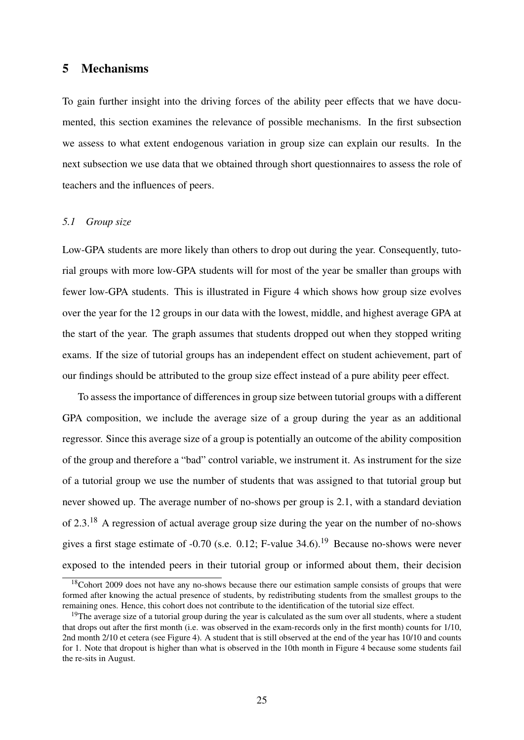### 5 Mechanisms

To gain further insight into the driving forces of the ability peer effects that we have documented, this section examines the relevance of possible mechanisms. In the first subsection we assess to what extent endogenous variation in group size can explain our results. In the next subsection we use data that we obtained through short questionnaires to assess the role of teachers and the influences of peers.

#### *5.1 Group size*

Low-GPA students are more likely than others to drop out during the year. Consequently, tutorial groups with more low-GPA students will for most of the year be smaller than groups with fewer low-GPA students. This is illustrated in Figure 4 which shows how group size evolves over the year for the 12 groups in our data with the lowest, middle, and highest average GPA at the start of the year. The graph assumes that students dropped out when they stopped writing exams. If the size of tutorial groups has an independent effect on student achievement, part of our findings should be attributed to the group size effect instead of a pure ability peer effect.

To assess the importance of differences in group size between tutorial groups with a different GPA composition, we include the average size of a group during the year as an additional regressor. Since this average size of a group is potentially an outcome of the ability composition of the group and therefore a "bad" control variable, we instrument it. As instrument for the size of a tutorial group we use the number of students that was assigned to that tutorial group but never showed up. The average number of no-shows per group is 2.1, with a standard deviation of 2.3.<sup>18</sup> A regression of actual average group size during the year on the number of no-shows gives a first stage estimate of  $-0.70$  (s.e. 0.12; F-value 34.6).<sup>19</sup> Because no-shows were never exposed to the intended peers in their tutorial group or informed about them, their decision

 $18$ Cohort 2009 does not have any no-shows because there our estimation sample consists of groups that were formed after knowing the actual presence of students, by redistributing students from the smallest groups to the remaining ones. Hence, this cohort does not contribute to the identification of the tutorial size effect.

<sup>&</sup>lt;sup>19</sup>The average size of a tutorial group during the year is calculated as the sum over all students, where a student that drops out after the first month (i.e. was observed in the exam-records only in the first month) counts for 1/10, 2nd month 2/10 et cetera (see Figure 4). A student that is still observed at the end of the year has 10/10 and counts for 1. Note that dropout is higher than what is observed in the 10th month in Figure 4 because some students fail the re-sits in August.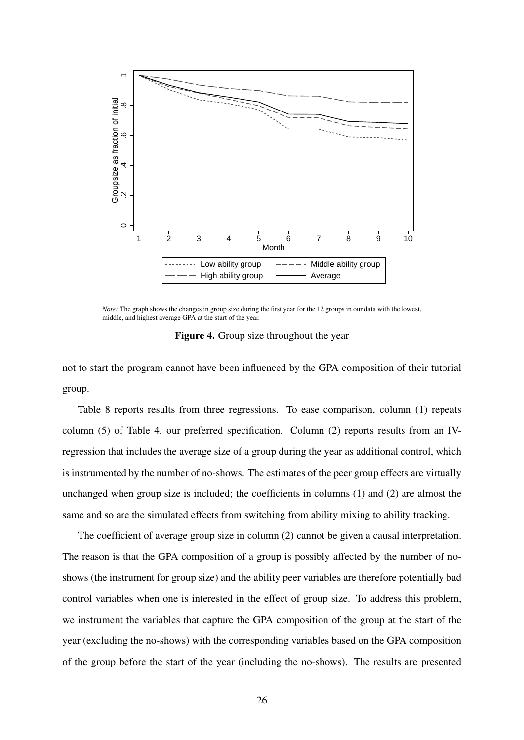

*Note:* The graph shows the changes in group size during the first year for the 12 groups in our data with the lowest, middle, and highest average GPA at the start of the year.

Figure 4. Group size throughout the year

not to start the program cannot have been influenced by the GPA composition of their tutorial group.

Table 8 reports results from three regressions. To ease comparison, column (1) repeats column (5) of Table 4, our preferred specification. Column (2) reports results from an IVregression that includes the average size of a group during the year as additional control, which is instrumented by the number of no-shows. The estimates of the peer group effects are virtually unchanged when group size is included; the coefficients in columns  $(1)$  and  $(2)$  are almost the same and so are the simulated effects from switching from ability mixing to ability tracking.

The coefficient of average group size in column (2) cannot be given a causal interpretation. The reason is that the GPA composition of a group is possibly affected by the number of noshows (the instrument for group size) and the ability peer variables are therefore potentially bad control variables when one is interested in the effect of group size. To address this problem, we instrument the variables that capture the GPA composition of the group at the start of the year (excluding the no-shows) with the corresponding variables based on the GPA composition of the group before the start of the year (including the no-shows). The results are presented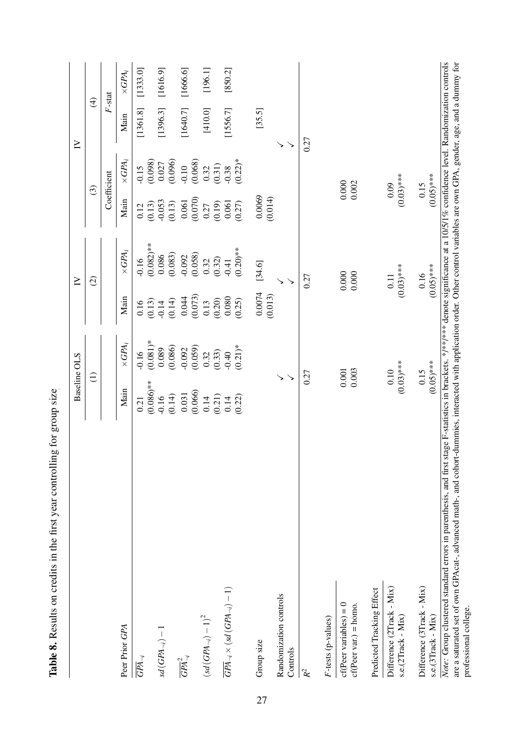|                                                                                                                                                                                                                                                                                                                                                                                            | <b>Baseline OLS</b>  |                       |                   | $\geq$                  |                      |                      | $\geq$   |                         |
|--------------------------------------------------------------------------------------------------------------------------------------------------------------------------------------------------------------------------------------------------------------------------------------------------------------------------------------------------------------------------------------------|----------------------|-----------------------|-------------------|-------------------------|----------------------|----------------------|----------|-------------------------|
|                                                                                                                                                                                                                                                                                                                                                                                            | $\widehat{\Xi}$      |                       |                   | $\widehat{\omega}$      | $\odot$              |                      |          | $\widehat{\mathcal{F}}$ |
|                                                                                                                                                                                                                                                                                                                                                                                            |                      |                       |                   |                         |                      | Coefficient          |          | $F$ -stat               |
| Peer Prior GPA                                                                                                                                                                                                                                                                                                                                                                             | Main                 | $\times GPA_i$        | Main              | $\times GPA_i$          | Main                 | $\times GPA_i$       | Main     | $\times GPA_i$          |
| $\overline{GPA}_{\neg i}$                                                                                                                                                                                                                                                                                                                                                                  | $(0.086)$ **<br>0.21 | $(0.081)*$<br>$-0.16$ | (0.13)<br>0.16    | $(0.082)$ **<br>$-0.16$ | (0.13)<br>0.12       | (0.098)<br>$-0.15$   | [1361.8] | [1333.0]                |
| $sd(GPA_{\neg i}) - 1$                                                                                                                                                                                                                                                                                                                                                                     | (0.14)<br>$-0.16$    | (0.086)<br>0.089      | (0.14)<br>$-0.14$ | (0.083)<br>0.086        | $-0.053$<br>(0.13)   | (0.096)<br>0.027     | [1396.3] | [1616.9]                |
| $\overline{GPA}_{\neg i}^2$                                                                                                                                                                                                                                                                                                                                                                | (0.066)<br>0.031     | (0.059)<br>$-0.092$   | (0.073)<br>0.044  | (0.058)<br>$-0.092$     | (0.070)<br>0.061     | (0.068)<br>$-0.10$   | [1640.7] | [1666.6]                |
| $\left(sd\left(GPA_{\neg i}\right)-1\right)^2$                                                                                                                                                                                                                                                                                                                                             | (0.21)<br>0.14       | (0.33)<br>0.32        | (0.20)<br>0.13    | (0.32)<br>0.32          | (0.19)<br>0.27       | (0.31)<br>0.32       | [410.0]  | [196.1]                 |
| $\overline{GPA}_{\neg i} \times (sd\left(GPA_{\neg i}\right)-1)$                                                                                                                                                                                                                                                                                                                           | (0.22)<br>0.14       | $(0.21)*$<br>$-0.40$  | 0.080<br>(0.25)   | $(0.20)$ **<br>$-0.41$  | 0.061<br>(0.27)      | $(0.22)*$<br>$-0.38$ | [1556.7] | [850.2]                 |
| Group size                                                                                                                                                                                                                                                                                                                                                                                 |                      |                       | 0.0074<br>(0.013) | [34.6]                  | 0.0069<br>(0.014)    |                      | [35.5]   |                         |
| Randomization controls<br>Controls                                                                                                                                                                                                                                                                                                                                                         | ゝ                    |                       |                   |                         |                      |                      |          |                         |
| $\mathcal{R}^2$                                                                                                                                                                                                                                                                                                                                                                            | 0.27                 |                       |                   | 0.27                    |                      |                      | 0.27     |                         |
| F-tests (p-values)                                                                                                                                                                                                                                                                                                                                                                         |                      |                       |                   |                         |                      |                      |          |                         |
| $cf(Peer variables) = 0$<br>$cf(Peer var.) = hom.$                                                                                                                                                                                                                                                                                                                                         | 0.001<br>0.003       |                       |                   | 0.000<br>0.000          | 0.002                | 0.000                |          |                         |
| Predicted Tracking Effect                                                                                                                                                                                                                                                                                                                                                                  |                      |                       |                   |                         |                      |                      |          |                         |
| Difference (2Track - Mix)<br>s.e.(2Track - Mix)                                                                                                                                                                                                                                                                                                                                            | $(0.03)$ ***<br>0.10 |                       |                   | $(0.03)$ ***<br>0.11    | 0.09                 | $(0.03)$ ***         |          |                         |
| Difference (3Track - Mix)<br>s.e.(3Track - Mix)                                                                                                                                                                                                                                                                                                                                            | $(0.05)$ ***<br>0.15 |                       |                   | $(0.05)$ ***<br>0.16    | $(0.05)$ ***<br>0.15 |                      |          |                         |
| Note: Group clustered standard errors in parenthesis, and first stage F-statistics in brackets. */**/** denote significance at a 10/5/1% confidence level. Randomization controls<br>are a saturated set of own GPAcat-, advanced math-, and cohort-dummies, interacted with application order. Other control variables are own GPA, gender, age, and a dummy for<br>professional college. |                      |                       |                   |                         |                      |                      |          |                         |

Table 8. Results on credits in the first year controlling for group size

Table 8. Results on credits in the first year controlling for group size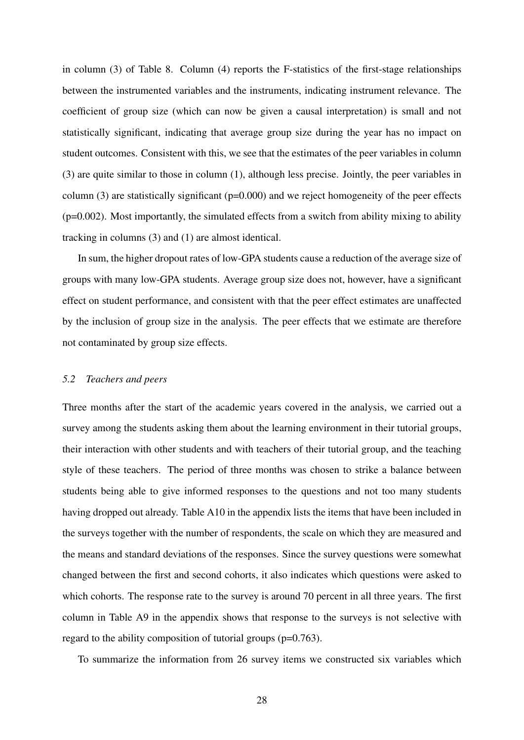in column (3) of Table 8. Column (4) reports the F-statistics of the first-stage relationships between the instrumented variables and the instruments, indicating instrument relevance. The coefficient of group size (which can now be given a causal interpretation) is small and not statistically significant, indicating that average group size during the year has no impact on student outcomes. Consistent with this, we see that the estimates of the peer variables in column (3) are quite similar to those in column (1), although less precise. Jointly, the peer variables in column (3) are statistically significant ( $p=0.000$ ) and we reject homogeneity of the peer effects  $(p=0.002)$ . Most importantly, the simulated effects from a switch from ability mixing to ability tracking in columns (3) and (1) are almost identical.

In sum, the higher dropout rates of low-GPA students cause a reduction of the average size of groups with many low-GPA students. Average group size does not, however, have a significant effect on student performance, and consistent with that the peer effect estimates are unaffected by the inclusion of group size in the analysis. The peer effects that we estimate are therefore not contaminated by group size effects.

#### *5.2 Teachers and peers*

Three months after the start of the academic years covered in the analysis, we carried out a survey among the students asking them about the learning environment in their tutorial groups, their interaction with other students and with teachers of their tutorial group, and the teaching style of these teachers. The period of three months was chosen to strike a balance between students being able to give informed responses to the questions and not too many students having dropped out already. Table A10 in the appendix lists the items that have been included in the surveys together with the number of respondents, the scale on which they are measured and the means and standard deviations of the responses. Since the survey questions were somewhat changed between the first and second cohorts, it also indicates which questions were asked to which cohorts. The response rate to the survey is around 70 percent in all three years. The first column in Table A9 in the appendix shows that response to the surveys is not selective with regard to the ability composition of tutorial groups (p=0.763).

To summarize the information from 26 survey items we constructed six variables which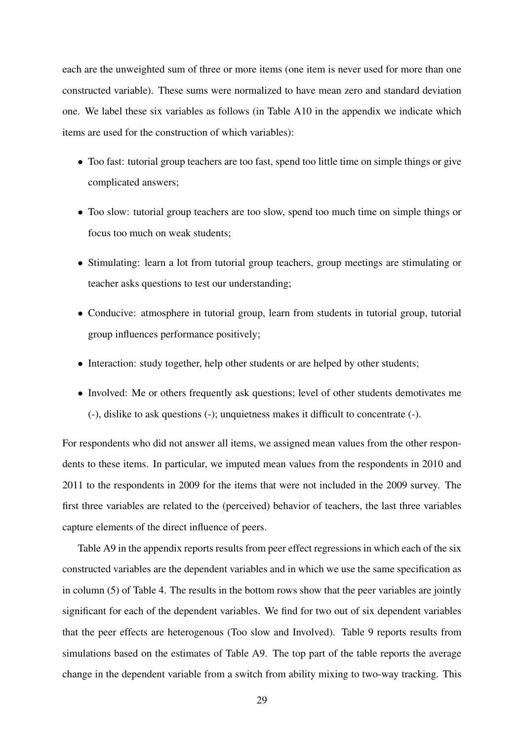each are the unweighted sum of three or more items (one item is never used for more than one constructed variable). These sums were normalized to have mean zero and standard deviation one. We label these six variables as follows (in Table A10 in the appendix we indicate which items are used for the construction of which variables):

- Too fast: tutorial group teachers are too fast, spend too little time on simple things or give complicated answers;
- Too slow: tutorial group teachers are too slow, spend too much time on simple things or focus too much on weak students;
- Stimulating: learn a lot from tutorial group teachers, group meetings are stimulating or teacher asks questions to test our understanding;
- Conducive: atmosphere in tutorial group, learn from students in tutorial group, tutorial group influences performance positively;
- Interaction: study together, help other students or are helped by other students;
- Involved: Me or others frequently ask questions; level of other students demotivates me (-), dislike to ask questions (-); unquietness makes it difficult to concentrate (-).

For respondents who did not answer all items, we assigned mean values from the other respondents to these items. In particular, we imputed mean values from the respondents in 2010 and 2011 to the respondents in 2009 for the items that were not included in the 2009 survey. The first three variables are related to the (perceived) behavior of teachers, the last three variables capture elements of the direct influence of peers.

Table A9 in the appendix reports results from peer effect regressions in which each of the six constructed variables are the dependent variables and in which we use the same specification as in column (5) of Table 4. The results in the bottom rows show that the peer variables are jointly significant for each of the dependent variables. We find for two out of six dependent variables that the peer effects are heterogenous (Too slow and Involved). Table 9 reports results from simulations based on the estimates of Table A9. The top part of the table reports the average change in the dependent variable from a switch from ability mixing to two-way tracking. This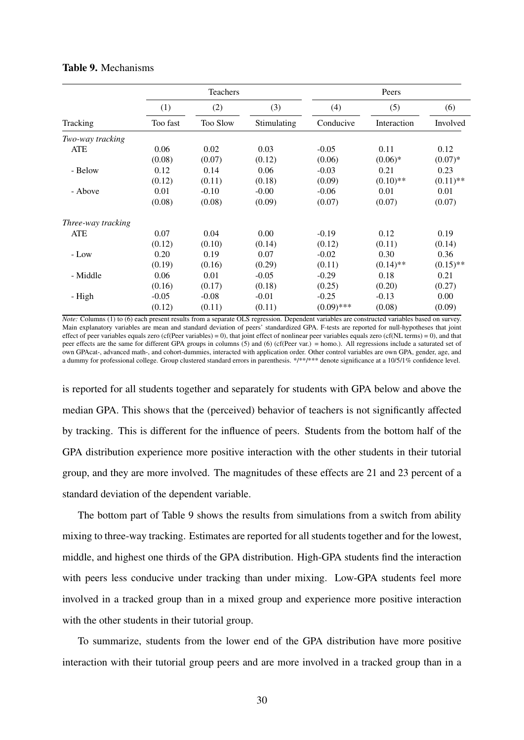|                    |          | Teachers |             |              | Peers       |             |
|--------------------|----------|----------|-------------|--------------|-------------|-------------|
|                    | (1)      | (2)      | (3)         | (4)          | (5)         | (6)         |
| Tracking           | Too fast | Too Slow | Stimulating | Conducive    | Interaction | Involved    |
| Two-way tracking   |          |          |             |              |             |             |
| <b>ATE</b>         | 0.06     | 0.02     | 0.03        | $-0.05$      | 0.11        | 0.12        |
|                    | (0.08)   | (0.07)   | (0.12)      | (0.06)       | $(0.06)*$   | $(0.07)*$   |
| - Below            | 0.12     | 0.14     | 0.06        | $-0.03$      | 0.21        | 0.23        |
|                    | (0.12)   | (0.11)   | (0.18)      | (0.09)       | $(0.10)$ ** | $(0.11)$ ** |
| - Above            | 0.01     | $-0.10$  | $-0.00$     | $-0.06$      | 0.01        | 0.01        |
|                    | (0.08)   | (0.08)   | (0.09)      | (0.07)       | (0.07)      | (0.07)      |
| Three-way tracking |          |          |             |              |             |             |
| <b>ATE</b>         | 0.07     | 0.04     | 0.00        | $-0.19$      | 0.12        | 0.19        |
|                    | (0.12)   | (0.10)   | (0.14)      | (0.12)       | (0.11)      | (0.14)      |
| - Low              | 0.20     | 0.19     | 0.07        | $-0.02$      | 0.30        | 0.36        |
|                    | (0.19)   | (0.16)   | (0.29)      | (0.11)       | $(0.14)$ ** | $(0.15)$ ** |
| - Middle           | 0.06     | 0.01     | $-0.05$     | $-0.29$      | 0.18        | 0.21        |
|                    | (0.16)   | (0.17)   | (0.18)      | (0.25)       | (0.20)      | (0.27)      |
| - High             | $-0.05$  | $-0.08$  | $-0.01$     | $-0.25$      | $-0.13$     | 0.00        |
|                    | (0.12)   | (0.11)   | (0.11)      | $(0.09)$ *** | (0.08)      | (0.09)      |

#### Table 9. Mechanisms

*Note:* Columns (1) to (6) each present results from a separate OLS regression. Dependent variables are constructed variables based on survey. Main explanatory variables are mean and standard deviation of peers' standardized GPA. F-tests are reported for null-hypotheses that joint effect of peer variables equals zero (cf(Peer variables) = 0), that joint effect of nonlinear peer variables equals zero (cf(NL terms) = 0), and that peer effects are the same for different GPA groups in columns (5) and (6) (cf(Peer var.) = homo.). All regressions include a saturated set of own GPAcat-, advanced math-, and cohort-dummies, interacted with application order. Other control variables are own GPA, gender, age, and a dummy for professional college. Group clustered standard errors in parenthesis. \*/\*\*/\*\*\* denote significance at a 10/5/1% confidence level.

is reported for all students together and separately for students with GPA below and above the median GPA. This shows that the (perceived) behavior of teachers is not significantly affected by tracking. This is different for the influence of peers. Students from the bottom half of the GPA distribution experience more positive interaction with the other students in their tutorial group, and they are more involved. The magnitudes of these effects are 21 and 23 percent of a standard deviation of the dependent variable.

The bottom part of Table 9 shows the results from simulations from a switch from ability mixing to three-way tracking. Estimates are reported for all students together and for the lowest, middle, and highest one thirds of the GPA distribution. High-GPA students find the interaction with peers less conducive under tracking than under mixing. Low-GPA students feel more involved in a tracked group than in a mixed group and experience more positive interaction with the other students in their tutorial group.

To summarize, students from the lower end of the GPA distribution have more positive interaction with their tutorial group peers and are more involved in a tracked group than in a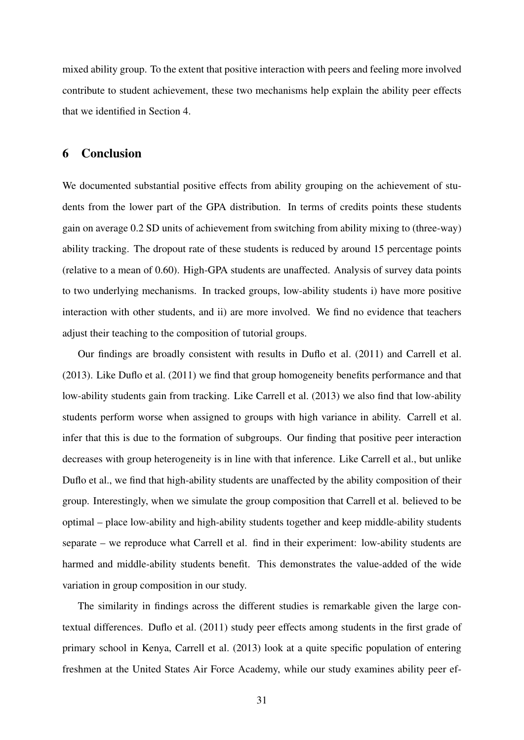mixed ability group. To the extent that positive interaction with peers and feeling more involved contribute to student achievement, these two mechanisms help explain the ability peer effects that we identified in Section 4.

# 6 Conclusion

We documented substantial positive effects from ability grouping on the achievement of students from the lower part of the GPA distribution. In terms of credits points these students gain on average 0.2 SD units of achievement from switching from ability mixing to (three-way) ability tracking. The dropout rate of these students is reduced by around 15 percentage points (relative to a mean of 0.60). High-GPA students are unaffected. Analysis of survey data points to two underlying mechanisms. In tracked groups, low-ability students i) have more positive interaction with other students, and ii) are more involved. We find no evidence that teachers adjust their teaching to the composition of tutorial groups.

Our findings are broadly consistent with results in Duflo et al. (2011) and Carrell et al. (2013). Like Duflo et al. (2011) we find that group homogeneity benefits performance and that low-ability students gain from tracking. Like Carrell et al. (2013) we also find that low-ability students perform worse when assigned to groups with high variance in ability. Carrell et al. infer that this is due to the formation of subgroups. Our finding that positive peer interaction decreases with group heterogeneity is in line with that inference. Like Carrell et al., but unlike Duflo et al., we find that high-ability students are unaffected by the ability composition of their group. Interestingly, when we simulate the group composition that Carrell et al. believed to be optimal – place low-ability and high-ability students together and keep middle-ability students separate – we reproduce what Carrell et al. find in their experiment: low-ability students are harmed and middle-ability students benefit. This demonstrates the value-added of the wide variation in group composition in our study.

The similarity in findings across the different studies is remarkable given the large contextual differences. Duflo et al. (2011) study peer effects among students in the first grade of primary school in Kenya, Carrell et al. (2013) look at a quite specific population of entering freshmen at the United States Air Force Academy, while our study examines ability peer ef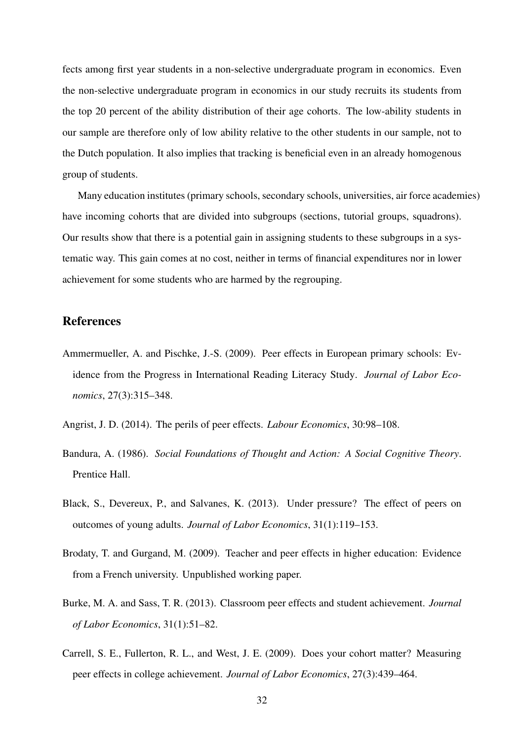fects among first year students in a non-selective undergraduate program in economics. Even the non-selective undergraduate program in economics in our study recruits its students from the top 20 percent of the ability distribution of their age cohorts. The low-ability students in our sample are therefore only of low ability relative to the other students in our sample, not to the Dutch population. It also implies that tracking is beneficial even in an already homogenous group of students.

Many education institutes (primary schools, secondary schools, universities, air force academies) have incoming cohorts that are divided into subgroups (sections, tutorial groups, squadrons). Our results show that there is a potential gain in assigning students to these subgroups in a systematic way. This gain comes at no cost, neither in terms of financial expenditures nor in lower achievement for some students who are harmed by the regrouping.

#### References

Ammermueller, A. and Pischke, J.-S. (2009). Peer effects in European primary schools: Evidence from the Progress in International Reading Literacy Study. *Journal of Labor Economics*, 27(3):315–348.

Angrist, J. D. (2014). The perils of peer effects. *Labour Economics*, 30:98–108.

- Bandura, A. (1986). *Social Foundations of Thought and Action: A Social Cognitive Theory*. Prentice Hall.
- Black, S., Devereux, P., and Salvanes, K. (2013). Under pressure? The effect of peers on outcomes of young adults. *Journal of Labor Economics*, 31(1):119–153.
- Brodaty, T. and Gurgand, M. (2009). Teacher and peer effects in higher education: Evidence from a French university. Unpublished working paper.
- Burke, M. A. and Sass, T. R. (2013). Classroom peer effects and student achievement. *Journal of Labor Economics*, 31(1):51–82.
- Carrell, S. E., Fullerton, R. L., and West, J. E. (2009). Does your cohort matter? Measuring peer effects in college achievement. *Journal of Labor Economics*, 27(3):439–464.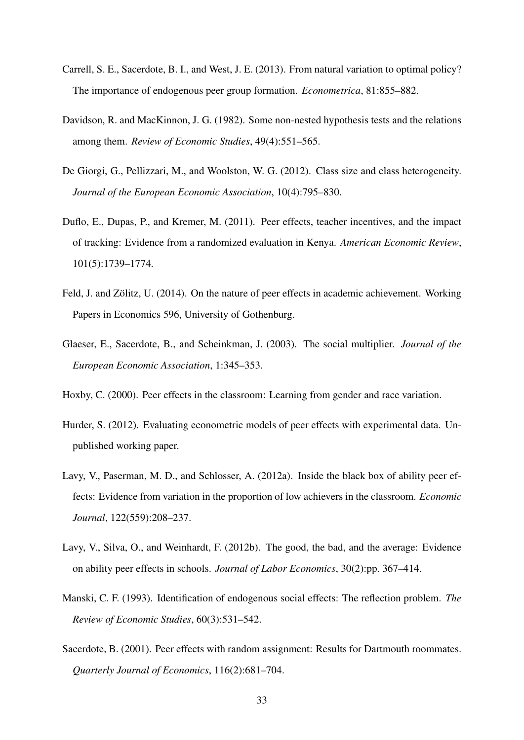- Carrell, S. E., Sacerdote, B. I., and West, J. E. (2013). From natural variation to optimal policy? The importance of endogenous peer group formation. *Econometrica*, 81:855–882.
- Davidson, R. and MacKinnon, J. G. (1982). Some non-nested hypothesis tests and the relations among them. *Review of Economic Studies*, 49(4):551–565.
- De Giorgi, G., Pellizzari, M., and Woolston, W. G. (2012). Class size and class heterogeneity. *Journal of the European Economic Association*, 10(4):795–830.
- Duflo, E., Dupas, P., and Kremer, M. (2011). Peer effects, teacher incentives, and the impact of tracking: Evidence from a randomized evaluation in Kenya. *American Economic Review*, 101(5):1739–1774.
- Feld, J. and Zölitz, U. (2014). On the nature of peer effects in academic achievement. Working Papers in Economics 596, University of Gothenburg.
- Glaeser, E., Sacerdote, B., and Scheinkman, J. (2003). The social multiplier. *Journal of the European Economic Association*, 1:345–353.
- Hoxby, C. (2000). Peer effects in the classroom: Learning from gender and race variation.
- Hurder, S. (2012). Evaluating econometric models of peer effects with experimental data. Unpublished working paper.
- Lavy, V., Paserman, M. D., and Schlosser, A. (2012a). Inside the black box of ability peer effects: Evidence from variation in the proportion of low achievers in the classroom. *Economic Journal*, 122(559):208–237.
- Lavy, V., Silva, O., and Weinhardt, F. (2012b). The good, the bad, and the average: Evidence on ability peer effects in schools. *Journal of Labor Economics*, 30(2):pp. 367–414.
- Manski, C. F. (1993). Identification of endogenous social effects: The reflection problem. *The Review of Economic Studies*, 60(3):531–542.
- Sacerdote, B. (2001). Peer effects with random assignment: Results for Dartmouth roommates. *Quarterly Journal of Economics*, 116(2):681–704.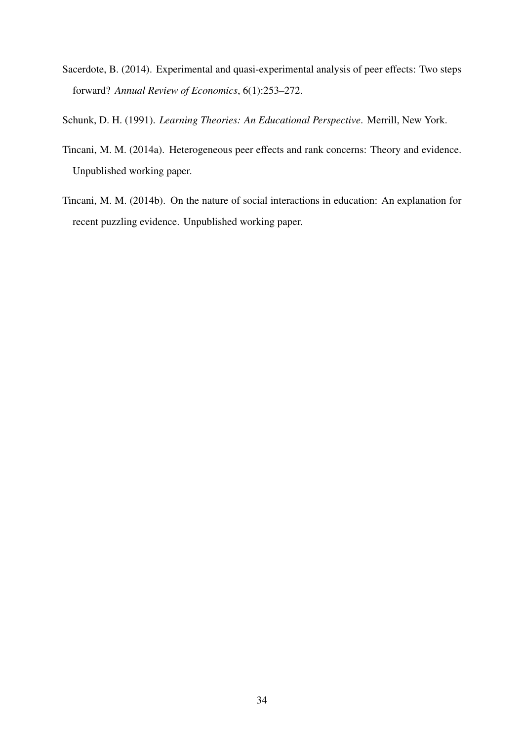- Sacerdote, B. (2014). Experimental and quasi-experimental analysis of peer effects: Two steps forward? *Annual Review of Economics*, 6(1):253–272.
- Schunk, D. H. (1991). *Learning Theories: An Educational Perspective*. Merrill, New York.
- Tincani, M. M. (2014a). Heterogeneous peer effects and rank concerns: Theory and evidence. Unpublished working paper.
- Tincani, M. M. (2014b). On the nature of social interactions in education: An explanation for recent puzzling evidence. Unpublished working paper.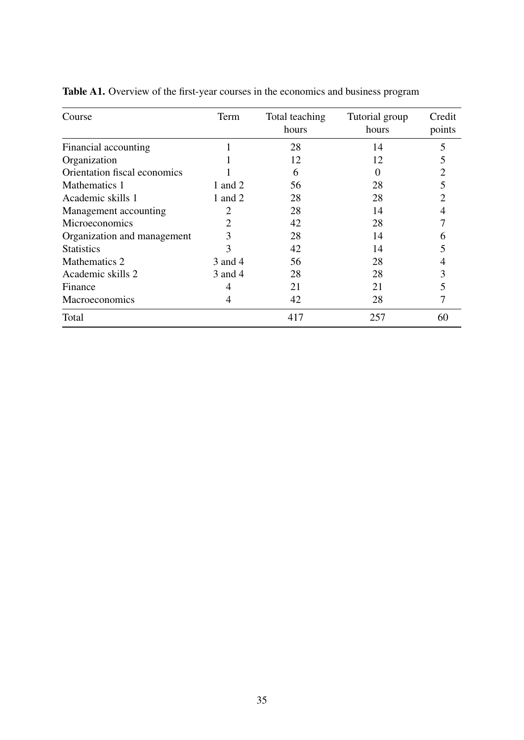| Course                       | Term    | Total teaching<br>hours | Tutorial group<br>hours | Credit<br>points |
|------------------------------|---------|-------------------------|-------------------------|------------------|
| Financial accounting         | -1      | 28                      | 14                      | 5                |
| Organization                 |         | 12                      | 12                      |                  |
| Orientation fiscal economics |         | 6                       |                         |                  |
| Mathematics 1                | 1 and 2 | 56                      | 28                      |                  |
| Academic skills 1            | 1 and 2 | 28                      | 28                      |                  |
| Management accounting        | 2       | 28                      | 14                      |                  |
| Microeconomics               | 2       | 42                      | 28                      |                  |
| Organization and management  | 3       | 28                      | 14                      | n                |
| <b>Statistics</b>            | 3       | 42                      | 14                      |                  |
| Mathematics 2                | 3 and 4 | 56                      | 28                      |                  |
| Academic skills 2            | 3 and 4 | 28                      | 28                      |                  |
| Finance                      | 4       | 21                      | 21                      |                  |
| <b>Macroeconomics</b>        | 4       | 42                      | 28                      |                  |
| Total                        |         | 417                     | 257                     | 60               |

Table A1. Overview of the first-year courses in the economics and business program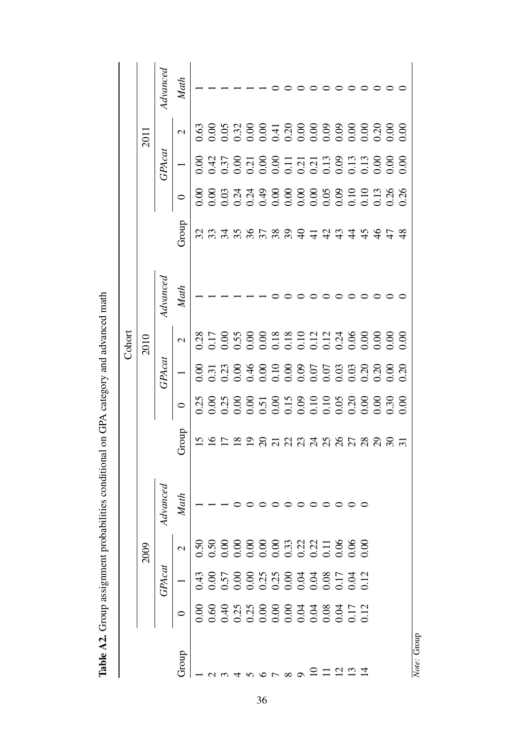|             |               |                          |                |       |               | Cohort                   |         |                    |              |                          |         |
|-------------|---------------|--------------------------|----------------|-------|---------------|--------------------------|---------|--------------------|--------------|--------------------------|---------|
|             |               | 2009                     |                |       |               | 2010                     |         |                    |              | 2011                     |         |
|             | <b>GPAcat</b> |                          | $4d$ vance $d$ |       | <b>GPAcat</b> |                          | Advance |                    | $G$ P $Acat$ |                          | Advance |
| Group       |               | $\overline{\mathcal{C}}$ | Math           | Group |               | $\overline{\mathcal{C}}$ | Math    | Group              |              | $\overline{\mathcal{C}}$ | Math    |
|             |               |                          |                |       |               |                          |         |                    |              |                          |         |
|             |               |                          |                |       |               |                          |         |                    |              |                          |         |
|             |               |                          |                |       |               |                          |         |                    |              |                          |         |
|             |               |                          |                |       |               |                          |         |                    |              |                          |         |
|             |               |                          |                |       |               |                          |         |                    |              |                          |         |
|             |               |                          |                |       |               |                          |         |                    |              |                          |         |
|             |               |                          |                |       |               |                          |         | 334885899444444444 |              |                          |         |
|             |               |                          |                |       |               |                          |         |                    |              |                          |         |
|             |               |                          |                |       |               |                          |         |                    |              |                          |         |
|             |               |                          |                |       |               |                          |         |                    |              |                          |         |
| $\Box$      |               |                          |                |       |               |                          |         |                    |              |                          |         |
|             |               |                          |                |       |               |                          |         |                    |              |                          |         |
|             |               |                          |                |       |               |                          |         |                    |              |                          |         |
|             |               |                          |                |       |               |                          |         |                    |              |                          |         |
|             |               |                          |                |       |               |                          |         |                    |              |                          |         |
|             |               |                          |                |       |               |                          |         |                    |              |                          |         |
|             |               |                          |                |       |               |                          |         |                    |              |                          |         |
| Note: Group |               |                          |                |       |               |                          |         |                    |              |                          |         |

Table A2. Group assignment probabilities conditional on GPA category and advanced math **Table A2.** Group assignment probabilities conditional on GPA category and advanced math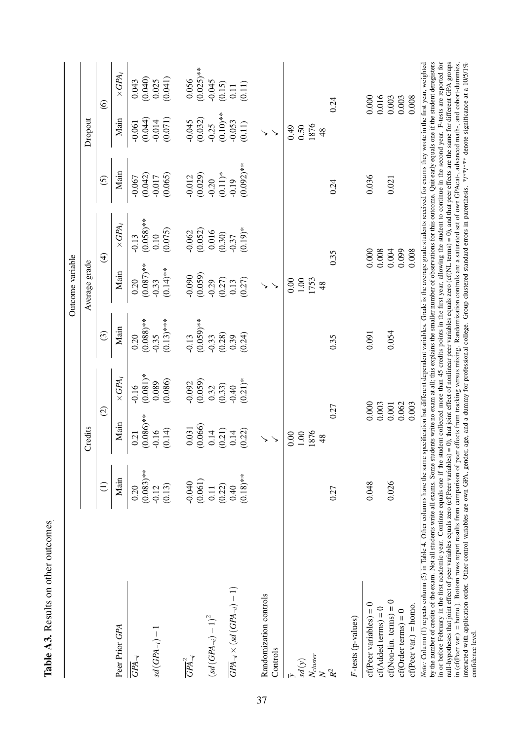|                                                                                                                                                                                                                                                                                                                                                                                                                                                                                                                                                                                                                                                                                                                                                                                                                                                                                                                                                                                                                                                                                                                                                                                                                              |                         |                         |                     |                        | Outcome variable        |                      |                                                                                                                                                |                     |                  |
|------------------------------------------------------------------------------------------------------------------------------------------------------------------------------------------------------------------------------------------------------------------------------------------------------------------------------------------------------------------------------------------------------------------------------------------------------------------------------------------------------------------------------------------------------------------------------------------------------------------------------------------------------------------------------------------------------------------------------------------------------------------------------------------------------------------------------------------------------------------------------------------------------------------------------------------------------------------------------------------------------------------------------------------------------------------------------------------------------------------------------------------------------------------------------------------------------------------------------|-------------------------|-------------------------|---------------------|------------------------|-------------------------|----------------------|------------------------------------------------------------------------------------------------------------------------------------------------|---------------------|------------------|
|                                                                                                                                                                                                                                                                                                                                                                                                                                                                                                                                                                                                                                                                                                                                                                                                                                                                                                                                                                                                                                                                                                                                                                                                                              |                         | Credits                 |                     |                        | Average grade           |                      |                                                                                                                                                | Dropout             |                  |
|                                                                                                                                                                                                                                                                                                                                                                                                                                                                                                                                                                                                                                                                                                                                                                                                                                                                                                                                                                                                                                                                                                                                                                                                                              | $\widehat{E}$           | $\widehat{\Omega}$      |                     | $\widehat{\odot}$      |                         | $\widehat{f}$        | $\overline{6}$                                                                                                                                 |                     | $\circledcirc$   |
| Peer Prior GPA                                                                                                                                                                                                                                                                                                                                                                                                                                                                                                                                                                                                                                                                                                                                                                                                                                                                                                                                                                                                                                                                                                                                                                                                               | Main                    | Main                    | $\times GPA_i$      | Main                   | Main                    | $\times GPA_i$       | Main                                                                                                                                           | Main                | $\times GPA_i$   |
| $\overline{GPA}_{\neg i}$                                                                                                                                                                                                                                                                                                                                                                                                                                                                                                                                                                                                                                                                                                                                                                                                                                                                                                                                                                                                                                                                                                                                                                                                    | 0.20                    | 0.21                    | $-0.16$             | 0.20                   | 0.20                    | $-0.13$              | $-0.067$                                                                                                                                       | $-0.061$            | 0.043            |
| $sd(GPA_{\neg i})-1$                                                                                                                                                                                                                                                                                                                                                                                                                                                                                                                                                                                                                                                                                                                                                                                                                                                                                                                                                                                                                                                                                                                                                                                                         | $(0.083)$ **<br>$-0.12$ | $(0.086)$ **<br>$-0.16$ | $(0.081)*$<br>0.089 | $(0.088)**$<br>$-0.35$ | $(0.087)$ **<br>$-0.33$ | $(0.058)$ **<br>0.10 | (0.042)<br>$-0.017$                                                                                                                            | (0.044)<br>$-0.014$ | (0.040)<br>0.025 |
|                                                                                                                                                                                                                                                                                                                                                                                                                                                                                                                                                                                                                                                                                                                                                                                                                                                                                                                                                                                                                                                                                                                                                                                                                              | (0.13)                  | (0.14)                  | (0.086)             | $(0.13)$ ***           | $(0.14)$ **             | (0.075)              | (0.065)                                                                                                                                        | (0.071)             | (0.041)          |
| $\overline{GPA}_{\neg i}^2$                                                                                                                                                                                                                                                                                                                                                                                                                                                                                                                                                                                                                                                                                                                                                                                                                                                                                                                                                                                                                                                                                                                                                                                                  | $-0.040$                | 0.031                   | $-0.092$            | $-0.13$                | $-0.090$                | $-0.062$             | $-0.012$                                                                                                                                       | $-0.045$            | 0.056            |
|                                                                                                                                                                                                                                                                                                                                                                                                                                                                                                                                                                                                                                                                                                                                                                                                                                                                                                                                                                                                                                                                                                                                                                                                                              | (0.061)                 | (0.066)                 | (0.059)             | $(0.059)$ **           | (0.059)                 | (0.052)              | (0.029)                                                                                                                                        | (0.032)             | $(0.025)$ **     |
| $\left(sd\left(GPA_{\neg i}\right)-1\right)^2$                                                                                                                                                                                                                                                                                                                                                                                                                                                                                                                                                                                                                                                                                                                                                                                                                                                                                                                                                                                                                                                                                                                                                                               | 0.11                    | 0.14                    | 0.32                | $-0.33$                | $-0.29$                 | 0.016                | $-0.20$                                                                                                                                        | $-0.25$             | $-0.045$         |
|                                                                                                                                                                                                                                                                                                                                                                                                                                                                                                                                                                                                                                                                                                                                                                                                                                                                                                                                                                                                                                                                                                                                                                                                                              | (0.22)                  | (0.21)                  | (0.33)              | (0.28)                 | (0.27)                  | (0.30)               | $(0.11)*$                                                                                                                                      | $(0.10)$ **         | (0.15)           |
| $\overline{GPA}_{\neg i} \times (sd(GPA_{\neg i}) - 1)$                                                                                                                                                                                                                                                                                                                                                                                                                                                                                                                                                                                                                                                                                                                                                                                                                                                                                                                                                                                                                                                                                                                                                                      | 0.40                    | 0.14                    | $-0.40$             | 0.39                   | 0.13                    |                      | $-0.19$                                                                                                                                        | $-0.053$            | $0.11$           |
|                                                                                                                                                                                                                                                                                                                                                                                                                                                                                                                                                                                                                                                                                                                                                                                                                                                                                                                                                                                                                                                                                                                                                                                                                              | $(0.18)$ **             | (0.22)                  | $(0.21)*$           | (0.24)                 | (0.27)                  | $(0.19)*$            | $(0.092)$ **                                                                                                                                   | (0.11)              | (0.11)           |
| Randomization controls                                                                                                                                                                                                                                                                                                                                                                                                                                                                                                                                                                                                                                                                                                                                                                                                                                                                                                                                                                                                                                                                                                                                                                                                       |                         |                         |                     |                        |                         |                      |                                                                                                                                                |                     |                  |
| Controls                                                                                                                                                                                                                                                                                                                                                                                                                                                                                                                                                                                                                                                                                                                                                                                                                                                                                                                                                                                                                                                                                                                                                                                                                     |                         |                         |                     |                        |                         |                      |                                                                                                                                                |                     |                  |
|                                                                                                                                                                                                                                                                                                                                                                                                                                                                                                                                                                                                                                                                                                                                                                                                                                                                                                                                                                                                                                                                                                                                                                                                                              |                         | 0.00                    |                     |                        | 0.00                    |                      |                                                                                                                                                | 0.49                |                  |
| $\mathop{sd}\left(y\right)$                                                                                                                                                                                                                                                                                                                                                                                                                                                                                                                                                                                                                                                                                                                                                                                                                                                                                                                                                                                                                                                                                                                                                                                                  |                         | $1.00\,$                |                     |                        | 1.00                    |                      |                                                                                                                                                | 0.50                |                  |
| $\frac{N_{cluster}}{N}$                                                                                                                                                                                                                                                                                                                                                                                                                                                                                                                                                                                                                                                                                                                                                                                                                                                                                                                                                                                                                                                                                                                                                                                                      |                         | 1876                    |                     |                        | 1753                    |                      |                                                                                                                                                | 1876                |                  |
|                                                                                                                                                                                                                                                                                                                                                                                                                                                                                                                                                                                                                                                                                                                                                                                                                                                                                                                                                                                                                                                                                                                                                                                                                              |                         | 48                      |                     |                        | 48                      |                      |                                                                                                                                                | 48                  |                  |
| $R^2$                                                                                                                                                                                                                                                                                                                                                                                                                                                                                                                                                                                                                                                                                                                                                                                                                                                                                                                                                                                                                                                                                                                                                                                                                        | 0.27                    | 0.27                    |                     | 0.35                   |                         | 0.35                 | 0.24                                                                                                                                           |                     | 0.24             |
| $F$ -tests (p-values)                                                                                                                                                                                                                                                                                                                                                                                                                                                                                                                                                                                                                                                                                                                                                                                                                                                                                                                                                                                                                                                                                                                                                                                                        |                         |                         |                     |                        |                         |                      |                                                                                                                                                |                     |                  |
| $cf(Peer variables) = 0$                                                                                                                                                                                                                                                                                                                                                                                                                                                                                                                                                                                                                                                                                                                                                                                                                                                                                                                                                                                                                                                                                                                                                                                                     | 0.048                   | 0.000                   |                     | 0.091                  |                         | 0.000                | 0.036                                                                                                                                          |                     | 0.000            |
| $cf(Added terms) = 0$                                                                                                                                                                                                                                                                                                                                                                                                                                                                                                                                                                                                                                                                                                                                                                                                                                                                                                                                                                                                                                                                                                                                                                                                        |                         | 0.003                   |                     |                        |                         | 0.008                |                                                                                                                                                |                     | 0.016            |
| $cf(Non-lin. terms) = 0$                                                                                                                                                                                                                                                                                                                                                                                                                                                                                                                                                                                                                                                                                                                                                                                                                                                                                                                                                                                                                                                                                                                                                                                                     | 0.026                   | 0.001                   |                     | 0.054                  |                         | 0.004                | 0.021                                                                                                                                          |                     | 0.003            |
| $cf(Order terms) = 0$                                                                                                                                                                                                                                                                                                                                                                                                                                                                                                                                                                                                                                                                                                                                                                                                                                                                                                                                                                                                                                                                                                                                                                                                        |                         | 0.062                   |                     |                        |                         | 0.099                |                                                                                                                                                |                     | 0.003            |
| $cf(Per var.) = homo.$                                                                                                                                                                                                                                                                                                                                                                                                                                                                                                                                                                                                                                                                                                                                                                                                                                                                                                                                                                                                                                                                                                                                                                                                       |                         | 0.003                   |                     |                        |                         | 0.008                |                                                                                                                                                |                     | 0.008            |
| by the number of credits of the exam. Not all students write all exams. Some students write no exam at all; this explains the smaller number of observations for this outcome. Quit early equals one if the student deregister<br>null-hypotheses that joint effect of peer variables equals zero (cf(Peer variables) = 0), that joint effect of nonlinear peer variables equals zero (cf(NL terms) = 0), and that peer effects are the same for different GPA g<br>in or before February in the first academic year. Continue equals one if the student collected more than 45 credits points in the first year, allowing the student to continue in the second year. F-tests are reported for<br>in (ef(Peer var.) = homo.). Bottom rows report results from comparison of peer effects from tracking versus mixing. Randomization controls are a saturated set of own GPAcat-, advanced math-, and cohort-dummies,<br>interacted with application order. Other control variables are own GPA, gender, age, and a dummy for professional college. Group clustered standard errors in parenthesis. */**/*** denote significance at a 10/5/1%<br>Note: Column (1) repeats column (5) in Table 4. Other columns have the same |                         |                         |                     |                        |                         |                      | specification but different dependent variables. Grade is the average grade students received for exams they wrote in the first year, weighted |                     |                  |
| confidence level.                                                                                                                                                                                                                                                                                                                                                                                                                                                                                                                                                                                                                                                                                                                                                                                                                                                                                                                                                                                                                                                                                                                                                                                                            |                         |                         |                     |                        |                         |                      |                                                                                                                                                |                     |                  |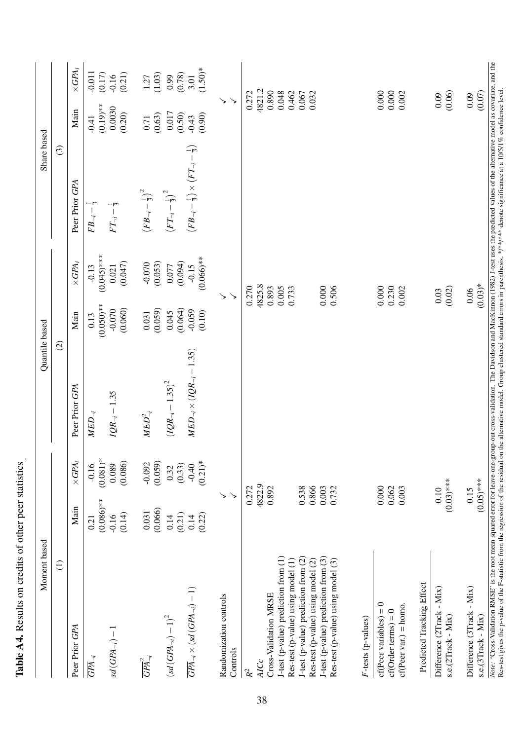| Moment based                                                                                                                                                                                                                                                                                                                                                                                                                                                                          |                                                                                                                 |                                            | Quantile based                              |                                            |                                                                                                           | Share based                                                                     |                                                                                                           |                                         |
|---------------------------------------------------------------------------------------------------------------------------------------------------------------------------------------------------------------------------------------------------------------------------------------------------------------------------------------------------------------------------------------------------------------------------------------------------------------------------------------|-----------------------------------------------------------------------------------------------------------------|--------------------------------------------|---------------------------------------------|--------------------------------------------|-----------------------------------------------------------------------------------------------------------|---------------------------------------------------------------------------------|-----------------------------------------------------------------------------------------------------------|-----------------------------------------|
| $\widehat{\ominus}$                                                                                                                                                                                                                                                                                                                                                                                                                                                                   |                                                                                                                 |                                            | $\odot$                                     |                                            |                                                                                                           | $\odot$                                                                         |                                                                                                           |                                         |
| Peer Prior GPA                                                                                                                                                                                                                                                                                                                                                                                                                                                                        | Main                                                                                                            | $\times GPA_i$                             | Peer Prior GPA                              | Main                                       | $\times GPA_i$                                                                                            | Peer Prior GPA                                                                  | Main                                                                                                      | $\times GPA_i$                          |
| $sd(GPA_{\neg i})-1$<br>$\overline{GPA}_{\neg i}$                                                                                                                                                                                                                                                                                                                                                                                                                                     | $(0.086)$ **<br>(0.14)<br>$-0.16$<br>0.21                                                                       | $(0.081)$ *<br>(0.086)<br>0.089<br>$-0.16$ | $IQR_{-i} - 1.35$<br>$MED_{\lnot i}$        | $(0.050)**$<br>(0.060)<br>$-0.070$<br>0.13 | $(0.045)$ ***<br>(0.047)<br>0.021<br>$-0.13$                                                              | $-1$ m<br>$\frac{1}{3}$<br>$FT_{\neg i}-$<br>$FB_{-i}$ –                        | $(0.19)$ **<br>0.0030<br>(0.20)<br>$-0.41$                                                                | $-0.011$<br>(0.21)<br>(0.17)<br>$-0.16$ |
| $\overline{GPA}_{\neg i}^2$                                                                                                                                                                                                                                                                                                                                                                                                                                                           | (0.066)<br>0.031                                                                                                | (0.059)<br>$-0.092$                        | $\mathit{MED}^2_{\neg i}$                   | (0.059)<br>0.031                           | (0.053)<br>$-0.070$                                                                                       | $\left(FB_{\neg i}-\frac{1}{3}\right)^2$                                        | (0.63)<br>0.71                                                                                            | (1.03)<br>1.27                          |
| $\left(sd\left(GPA_{\neg i}\right)-1\right)^2$                                                                                                                                                                                                                                                                                                                                                                                                                                        | (0.21)<br>0.14                                                                                                  | (0.33)<br>0.32                             | $(1QR_{\neg i} - 1.35)^2$                   | (0.064)<br>0.045                           | (0.094)<br>0.077                                                                                          | $\left( FT_{\neg i}-\frac{1}{3}\right) ^{2}$                                    | 0.017<br>(0.50)                                                                                           | (0.78)<br>0.99                          |
| $\overline{GPA}_{\neg i} \times (sd~(GPA_{\neg i})-1)$                                                                                                                                                                                                                                                                                                                                                                                                                                | (0.22)<br>0.14                                                                                                  | $(0.21)*$<br>$-0.40$                       | $MED_{\lnot l} \times (IQR_{\lnot l}-1.35)$ | $-0.059$<br>(0.10)                         | $(0.066)$ **<br>$-0.15$                                                                                   | —ાર્જ<br>$\left( FB_{\neg i} - \frac{1}{3} \right) \times \left( FT_{\neg i} -$ | (0.90)<br>$-0.43$                                                                                         | $(1.50)*$<br>3.01                       |
| Randomization controls<br>Controls                                                                                                                                                                                                                                                                                                                                                                                                                                                    | $\begin{array}{c} \diagup \\ \diagdown \end{array}$<br>↘                                                        |                                            |                                             |                                            | $\searrow$<br>↘                                                                                           |                                                                                 | $\checkmark$<br>↘                                                                                         |                                         |
| J-test (p-value) prediction from (3)<br>J-test (p-value) prediction from (1)<br>J-test (p-value) prediction from (2)<br>Res-test (p-value) using model (2)<br>Res-test (p-value) using model (3)<br>Res-test (p-value) using model (1)<br>Predicted Tracking Effect<br>Difference (2Track - Mix)<br>Cross-Validation MRSE<br>$cf(Per variables) = 0$<br>$cf(Per var.) = homo.$<br>$cf(Order terms) = 0$<br>s.e.(2Track - Mix)<br>F-tests (p-values)<br><b>AICc</b><br>$\mathcal{R}^2$ | $(0.03)$ ***<br>4822.9<br>0.892<br>0.538<br>0.866<br>0.000<br>0.003<br>0.062<br>0.272<br>0.732<br>0.003<br>0.10 |                                            |                                             |                                            | 4825.8<br>0.270<br>0.000<br>0.893<br>0.000<br>0.230<br>(0.02)<br>0.005<br>0.506<br>0.733<br>0.002<br>0.03 |                                                                                 | 4821.2<br>0.890<br>0.000<br>0.000<br>0.048<br>0.462<br>(0.06)<br>0.272<br>0.067<br>0.032<br>0.002<br>0.09 |                                         |
| Difference (3Track - Mix)<br>s.e.(3Track - Mix)                                                                                                                                                                                                                                                                                                                                                                                                                                       | $(0.05)$ ***<br>0.15                                                                                            |                                            |                                             |                                            | $(0.03)*$<br>0.06                                                                                         |                                                                                 | (0.07)<br>0.09                                                                                            |                                         |
| Note: "Cross-Validation RMSE" is the root mean squared error for leave-one-group-out cross-validation. The Davidson and MacKinnon (1982) J-test uses the predicted values of the alternative model as covariate, and the<br>Res-test gives the p-value of the F-statistic from the regression of the residual on the alternative model. Group clustered standard errors in parenthesis. */**/*** denote significance at a 10/5/1% confidence level.                                   |                                                                                                                 |                                            |                                             |                                            |                                                                                                           |                                                                                 |                                                                                                           |                                         |

Table A4. Results on credits of other peer statistics Table A4. Results on credits of other peer statistics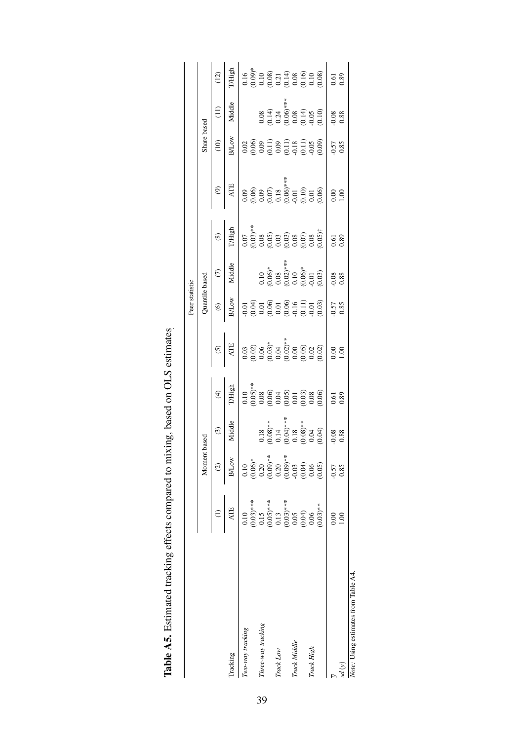|                                      |                                          |                                                  |                                                                                                                                                                                                                                                                                                            |                                                                                                                                                                                                                                                                                                                                 |                                                                                                                                                                                                                                                                                                               | Peer statistic                                                                                  |                                                                                                |                                                                                               |                |                                                                                                                                                                                                                                                                                                               |                                                                                                           |                                                                                                                   |
|--------------------------------------|------------------------------------------|--------------------------------------------------|------------------------------------------------------------------------------------------------------------------------------------------------------------------------------------------------------------------------------------------------------------------------------------------------------------|---------------------------------------------------------------------------------------------------------------------------------------------------------------------------------------------------------------------------------------------------------------------------------------------------------------------------------|---------------------------------------------------------------------------------------------------------------------------------------------------------------------------------------------------------------------------------------------------------------------------------------------------------------|-------------------------------------------------------------------------------------------------|------------------------------------------------------------------------------------------------|-----------------------------------------------------------------------------------------------|----------------|---------------------------------------------------------------------------------------------------------------------------------------------------------------------------------------------------------------------------------------------------------------------------------------------------------------|-----------------------------------------------------------------------------------------------------------|-------------------------------------------------------------------------------------------------------------------|
|                                      |                                          | Momen                                            | based                                                                                                                                                                                                                                                                                                      |                                                                                                                                                                                                                                                                                                                                 |                                                                                                                                                                                                                                                                                                               |                                                                                                 | Quantile based                                                                                 |                                                                                               |                | Share based                                                                                                                                                                                                                                                                                                   |                                                                                                           |                                                                                                                   |
|                                      |                                          | $\odot$                                          | $\odot$                                                                                                                                                                                                                                                                                                    | $\widehat{\mathcal{F}}$                                                                                                                                                                                                                                                                                                         | $\odot$                                                                                                                                                                                                                                                                                                       | $\widehat{\mathfrak{S}}$                                                                        | $\widehat{C}$                                                                                  | $\circledast$                                                                                 | $\circledcirc$ | (10)                                                                                                                                                                                                                                                                                                          | $\Xi$                                                                                                     | $\left(12\right)$                                                                                                 |
| Tracking                             | <b>ATE</b>                               | <b>B/Low</b>                                     | Middle                                                                                                                                                                                                                                                                                                     | <b>T/High</b>                                                                                                                                                                                                                                                                                                                   | <b>ATE</b>                                                                                                                                                                                                                                                                                                    | <b>B</b> Low                                                                                    | Middle                                                                                         | T/High                                                                                        | <b>ATE</b>     | <b>B</b> Low                                                                                                                                                                                                                                                                                                  | Middle                                                                                                    | <b>I</b> /High                                                                                                    |
| Two-way tracking                     | 0.10                                     | 0.10                                             |                                                                                                                                                                                                                                                                                                            |                                                                                                                                                                                                                                                                                                                                 |                                                                                                                                                                                                                                                                                                               |                                                                                                 |                                                                                                |                                                                                               |                |                                                                                                                                                                                                                                                                                                               |                                                                                                           |                                                                                                                   |
|                                      |                                          |                                                  |                                                                                                                                                                                                                                                                                                            |                                                                                                                                                                                                                                                                                                                                 |                                                                                                                                                                                                                                                                                                               |                                                                                                 |                                                                                                |                                                                                               |                |                                                                                                                                                                                                                                                                                                               |                                                                                                           |                                                                                                                   |
| Three-way tracking                   |                                          |                                                  |                                                                                                                                                                                                                                                                                                            |                                                                                                                                                                                                                                                                                                                                 |                                                                                                                                                                                                                                                                                                               |                                                                                                 |                                                                                                |                                                                                               |                |                                                                                                                                                                                                                                                                                                               |                                                                                                           |                                                                                                                   |
|                                      | $(0.03)$ ***<br>0.15<br>0.05)***<br>0.13 | $(0.06)^*$<br>$0.20$<br>$(0.09)^{***}$<br>$0.20$ |                                                                                                                                                                                                                                                                                                            |                                                                                                                                                                                                                                                                                                                                 |                                                                                                                                                                                                                                                                                                               |                                                                                                 |                                                                                                |                                                                                               |                |                                                                                                                                                                                                                                                                                                               |                                                                                                           |                                                                                                                   |
| Track Low                            |                                          |                                                  |                                                                                                                                                                                                                                                                                                            |                                                                                                                                                                                                                                                                                                                                 |                                                                                                                                                                                                                                                                                                               |                                                                                                 |                                                                                                |                                                                                               |                |                                                                                                                                                                                                                                                                                                               |                                                                                                           |                                                                                                                   |
|                                      | $(0.03)$ ***<br>0.05<br>0.05<br>0.04)    | $(0.09)$ **<br>$-0.03$<br>$(0.04)$<br>$0.06$     |                                                                                                                                                                                                                                                                                                            |                                                                                                                                                                                                                                                                                                                                 |                                                                                                                                                                                                                                                                                                               |                                                                                                 |                                                                                                |                                                                                               |                |                                                                                                                                                                                                                                                                                                               |                                                                                                           |                                                                                                                   |
| Track Middle                         |                                          |                                                  |                                                                                                                                                                                                                                                                                                            |                                                                                                                                                                                                                                                                                                                                 |                                                                                                                                                                                                                                                                                                               |                                                                                                 |                                                                                                |                                                                                               |                |                                                                                                                                                                                                                                                                                                               |                                                                                                           |                                                                                                                   |
|                                      |                                          |                                                  |                                                                                                                                                                                                                                                                                                            |                                                                                                                                                                                                                                                                                                                                 |                                                                                                                                                                                                                                                                                                               |                                                                                                 |                                                                                                |                                                                                               |                |                                                                                                                                                                                                                                                                                                               |                                                                                                           |                                                                                                                   |
| Track High                           |                                          |                                                  |                                                                                                                                                                                                                                                                                                            |                                                                                                                                                                                                                                                                                                                                 |                                                                                                                                                                                                                                                                                                               |                                                                                                 |                                                                                                |                                                                                               |                |                                                                                                                                                                                                                                                                                                               |                                                                                                           |                                                                                                                   |
|                                      | $(0.03)$ **                              | (0.05)                                           | $\begin{array}{l} 0.18 \\ 0.08) ^{***} \\ 0.14 \\ 0.04) ^{***} \\ 0.18 \\ 0.08) ^{***} \\ 0.08 \\ 0.04 \\ 0.04 \\ 0.04 \\ 0.004 \\ 0.004 \\ 0.004 \\ 0.004 \\ 0.004 \\ 0.004 \\ 0.004 \\ 0.004 \\ 0.004 \\ 0.004 \\ 0.004 \\ 0.004 \\ 0.004 \\ 0.004 \\ 0.004 \\ 0.004 \\ 0.004 \\ 0.004 \\ 0.004 \\ 0.00$ | $\begin{array}{l} 10 \\ 0.6 \\ 0.6 \\ 0.6 \end{array}$ and $\begin{array}{l} 0.6 \\ 0.6 \\ 0.6 \end{array}$ and $\begin{array}{l} 0.6 \\ 0.6 \\ 0.6 \end{array}$ and $\begin{array}{l} 0.6 \\ 0.6 \\ 0.6 \end{array}$ and $\begin{array}{l} 0.6 \\ 0.6 \\ 0.6 \end{array}$ and $\begin{array}{l} 0.6 \\ 0.6 \\ 0.6 \end{array}$ | $\begin{array}{l} 0.03 \\ 0.02 \\ 0.63 \\ 0.63 \\ 0.07 \\ 0.03 \\ 0.01 \\ 0.00 \\ 0.00 \\ 0.00 \\ 0.00 \\ 0.00 \\ 0.00 \\ 0.01 \\ 0.01 \\ 0.02 \\ 0.01 \\ 0.01 \\ 0.02 \\ 0.01 \\ 0.02 \\ 0.01 \\ 0.02 \\ 0.03 \\ 0.03 \\ 0.03 \\ 0.03 \\ 0.03 \\ 0.03 \\ 0.03 \\ 0.03 \\ 0.03 \\ 0.03 \\ 0.03 \\ 0.03 \\ 0.$ | $-0.01$<br>$-0.04$<br>$-0.06$<br>$-0.06$<br>$-0.06$<br>$-0.05$<br>$-0.05$<br>$-0.03$<br>$-0.03$ | $0.10$<br>$(0.06)^*$<br>$0.08$<br>$(0.02)^*$<br>$0.10$<br>$(0.06)^*$<br>$(0.06)^*$<br>$(0.03)$ | $0.07$<br>$(0.03)$ **<br>$(0.05)$<br>$(0.05)$<br>$(0.05)$<br>$(0.05)$<br>$(0.05)$<br>$(0.05)$ |                | $\begin{array}{l} 0.02 \\ 0.06 \\ 0.01 \\ 0.01 \\ 0.01 \\ 0.01 \\ 0.01 \\ 0.01 \\ 0.00 \\ 0.00 \\ 0.00 \\ 0.00 \\ 0.00 \\ 0.00 \\ 0.00 \\ 0.00 \\ 0.00 \\ 0.00 \\ 0.00 \\ 0.00 \\ 0.00 \\ 0.00 \\ 0.00 \\ 0.00 \\ 0.00 \\ 0.00 \\ 0.00 \\ 0.00 \\ 0.00 \\ 0.00 \\ 0.00 \\ 0.00 \\ 0.00 \\ 0.00 \\ 0.00 \\ 0.$ | $0.08$<br>$0.14$<br>$0.24$<br>$0.06$ <sup>**</sup> *<br>$0.06$<br>$0.014$<br>$0.05$<br>$0.010$<br>$0.010$ | $0.16$<br>$0.09$ <sup>*</sup><br>$0.08$<br>$0.08$<br>$0.14$<br>$0.08$<br>$0.000$<br>$0.000$<br>$0.000$<br>$0.000$ |
|                                      | 0.00                                     | $-0.57$                                          | 0.08                                                                                                                                                                                                                                                                                                       |                                                                                                                                                                                                                                                                                                                                 |                                                                                                                                                                                                                                                                                                               |                                                                                                 |                                                                                                |                                                                                               |                |                                                                                                                                                                                                                                                                                                               |                                                                                                           |                                                                                                                   |
| $\chi)$ ps                           |                                          | 0.85                                             | 0.88                                                                                                                                                                                                                                                                                                       | $0.61$<br>$0.89$                                                                                                                                                                                                                                                                                                                | 0.001                                                                                                                                                                                                                                                                                                         | 0.S7<br>0.85                                                                                    | 0.88                                                                                           | $\begin{array}{c} 0.61 \\ 0.89 \end{array}$                                                   | 0.001          | 0.57<br>0.85                                                                                                                                                                                                                                                                                                  | $0.08$<br>0.88                                                                                            | $\begin{array}{c} 0.61 \\ 0.89 \end{array}$                                                                       |
| Note: Using estimates from Table A4. |                                          |                                                  |                                                                                                                                                                                                                                                                                                            |                                                                                                                                                                                                                                                                                                                                 |                                                                                                                                                                                                                                                                                                               |                                                                                                 |                                                                                                |                                                                                               |                |                                                                                                                                                                                                                                                                                                               |                                                                                                           |                                                                                                                   |

| $\sim$ at $\sim$ at $\sim$                                                                                                                                                                                                          |
|-------------------------------------------------------------------------------------------------------------------------------------------------------------------------------------------------------------------------------------|
| ごろう こうりょう<br>ں<br>آ                                                                                                                                                                                                                 |
|                                                                                                                                                                                                                                     |
|                                                                                                                                                                                                                                     |
| . I we have a stream and the stream of the stream of the stream of the stream of the stream of the stream of the stream of the stream of the stream of the stream of the stream of the stream of the stream of the stream of t<br>l |
|                                                                                                                                                                                                                                     |
| ١                                                                                                                                                                                                                                   |
| -<br>-<br>-<br>-<br>$\overline{\phantom{a}}$                                                                                                                                                                                        |
|                                                                                                                                                                                                                                     |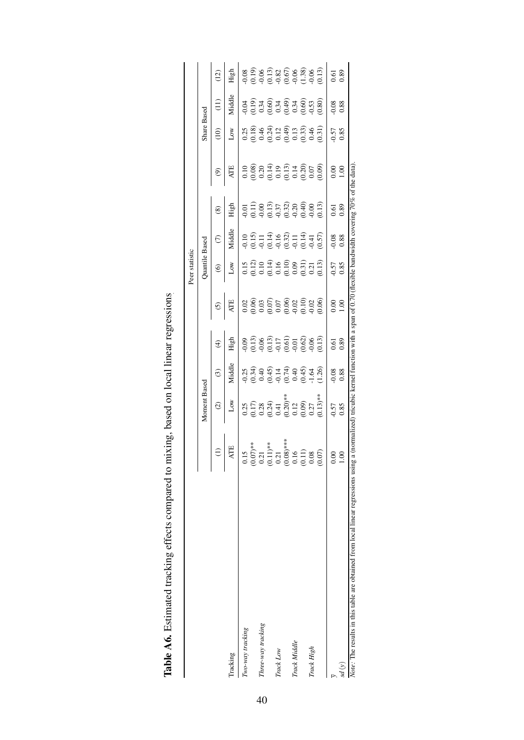|                                                                                  |                                                                                                                                                                    |                                                                                                                                                                                                                                                                                                                                           |                                                                                                                                                        |                 |                                                                                                                                                                                                                                                                                                               | Peer statistic                                                                                                                                                                                                                                                                                                |            |                  |                                                                                                                                                                                                                                                                                                               |                                                                                                                                                                                                                                                                                                               |                                             |                  |
|----------------------------------------------------------------------------------|--------------------------------------------------------------------------------------------------------------------------------------------------------------------|-------------------------------------------------------------------------------------------------------------------------------------------------------------------------------------------------------------------------------------------------------------------------------------------------------------------------------------------|--------------------------------------------------------------------------------------------------------------------------------------------------------|-----------------|---------------------------------------------------------------------------------------------------------------------------------------------------------------------------------------------------------------------------------------------------------------------------------------------------------------|---------------------------------------------------------------------------------------------------------------------------------------------------------------------------------------------------------------------------------------------------------------------------------------------------------------|------------|------------------|---------------------------------------------------------------------------------------------------------------------------------------------------------------------------------------------------------------------------------------------------------------------------------------------------------------|---------------------------------------------------------------------------------------------------------------------------------------------------------------------------------------------------------------------------------------------------------------------------------------------------------------|---------------------------------------------|------------------|
|                                                                                  |                                                                                                                                                                    | Moment Based                                                                                                                                                                                                                                                                                                                              |                                                                                                                                                        |                 |                                                                                                                                                                                                                                                                                                               | Quantile Based                                                                                                                                                                                                                                                                                                |            |                  |                                                                                                                                                                                                                                                                                                               | Share Based                                                                                                                                                                                                                                                                                                   |                                             |                  |
|                                                                                  |                                                                                                                                                                    | $\odot$                                                                                                                                                                                                                                                                                                                                   | $\odot$                                                                                                                                                | $\widehat{\pm}$ | $\odot$                                                                                                                                                                                                                                                                                                       | $\circledcirc$                                                                                                                                                                                                                                                                                                | $\epsilon$ | $\circledast$    | $\widehat{e}$                                                                                                                                                                                                                                                                                                 | (10)                                                                                                                                                                                                                                                                                                          | $\left(11\right)$                           | (12)             |
| Tracking                                                                         | <b>ATE</b>                                                                                                                                                         | Low                                                                                                                                                                                                                                                                                                                                       | Viddle                                                                                                                                                 | High            |                                                                                                                                                                                                                                                                                                               | $_{\text{Low}}$                                                                                                                                                                                                                                                                                               | Middle     | High             | <b>ATE</b>                                                                                                                                                                                                                                                                                                    | $_{\rm low}$                                                                                                                                                                                                                                                                                                  | Middle                                      | High             |
| Two-way tracking                                                                 |                                                                                                                                                                    |                                                                                                                                                                                                                                                                                                                                           |                                                                                                                                                        |                 |                                                                                                                                                                                                                                                                                                               |                                                                                                                                                                                                                                                                                                               |            |                  |                                                                                                                                                                                                                                                                                                               |                                                                                                                                                                                                                                                                                                               |                                             |                  |
|                                                                                  |                                                                                                                                                                    |                                                                                                                                                                                                                                                                                                                                           |                                                                                                                                                        |                 |                                                                                                                                                                                                                                                                                                               |                                                                                                                                                                                                                                                                                                               |            |                  |                                                                                                                                                                                                                                                                                                               |                                                                                                                                                                                                                                                                                                               |                                             |                  |
| Three-way tracking                                                               |                                                                                                                                                                    |                                                                                                                                                                                                                                                                                                                                           |                                                                                                                                                        |                 |                                                                                                                                                                                                                                                                                                               |                                                                                                                                                                                                                                                                                                               |            |                  |                                                                                                                                                                                                                                                                                                               |                                                                                                                                                                                                                                                                                                               |                                             |                  |
|                                                                                  |                                                                                                                                                                    |                                                                                                                                                                                                                                                                                                                                           |                                                                                                                                                        |                 |                                                                                                                                                                                                                                                                                                               |                                                                                                                                                                                                                                                                                                               |            |                  |                                                                                                                                                                                                                                                                                                               |                                                                                                                                                                                                                                                                                                               |                                             |                  |
| Track Low                                                                        |                                                                                                                                                                    |                                                                                                                                                                                                                                                                                                                                           |                                                                                                                                                        |                 |                                                                                                                                                                                                                                                                                                               |                                                                                                                                                                                                                                                                                                               |            |                  |                                                                                                                                                                                                                                                                                                               |                                                                                                                                                                                                                                                                                                               |                                             |                  |
|                                                                                  |                                                                                                                                                                    |                                                                                                                                                                                                                                                                                                                                           |                                                                                                                                                        |                 |                                                                                                                                                                                                                                                                                                               |                                                                                                                                                                                                                                                                                                               |            |                  |                                                                                                                                                                                                                                                                                                               |                                                                                                                                                                                                                                                                                                               |                                             |                  |
| Track Middle                                                                     |                                                                                                                                                                    |                                                                                                                                                                                                                                                                                                                                           |                                                                                                                                                        |                 |                                                                                                                                                                                                                                                                                                               |                                                                                                                                                                                                                                                                                                               |            |                  |                                                                                                                                                                                                                                                                                                               |                                                                                                                                                                                                                                                                                                               |                                             |                  |
|                                                                                  |                                                                                                                                                                    |                                                                                                                                                                                                                                                                                                                                           |                                                                                                                                                        |                 |                                                                                                                                                                                                                                                                                                               |                                                                                                                                                                                                                                                                                                               |            |                  |                                                                                                                                                                                                                                                                                                               |                                                                                                                                                                                                                                                                                                               |                                             |                  |
| Track High                                                                       |                                                                                                                                                                    |                                                                                                                                                                                                                                                                                                                                           |                                                                                                                                                        |                 |                                                                                                                                                                                                                                                                                                               |                                                                                                                                                                                                                                                                                                               |            |                  |                                                                                                                                                                                                                                                                                                               |                                                                                                                                                                                                                                                                                                               |                                             |                  |
|                                                                                  | $\begin{array}{c} 0.15 \\ (0.07) ^{**} \\ 0.21 \\ (0.11) ^{**} \\ (0.11) ^{**} \\ (0.08) ^{**} \\ (0.010) \\ (0.010) \\ (0.008) \\ (0.000) \\ (0.007) \end{array}$ | $\begin{array}{l} 0.25 \\ 0.17 \\ 0.28 \\ 0.24 \\ 0.41 \\ 0.20 \\ 0.01 \\ 0.00 \\ 0.01 \\ 0.01 \\ 0.13) ^{* \ast} \\ (0.13) ^{*} \\ (0.15) ^{*} \\ (0.17) ^{*} \\ (0.19) ^{*} \\ (0.11) ^{*} \\ (0.11) ^{*} \\ (0.11) ^{*} \\ (0.11) ^{*} \\ (0.12) ^{*} \\ (0.13) ^{*} \\ (0.13) ^{*} \\ (0.11) ^{*} \\ (0.11) ^{*} \\ (0.11) ^{*} \\ ($ | $\begin{array}{cccccc}\n 0.33 & 0.33 & 0.33 \\  0.33 & 0.33 & 0.33 \\  0.33 & 0.33 & 0.33 \\  0.33 & 0.33 & 0.33 \\  0.33 & 0.33 & 0.33\n \end{array}$ |                 | $\begin{array}{l} 0.02 \\ 0.06 \\ 0.07 \\ 0.07 \\ 0.07 \\ 0.07 \\ 0.00 \\ 0.00 \\ 0.00 \\ 0.00 \\ 0.00 \\ 0.00 \\ 0.00 \\ 0.00 \\ 0.00 \\ 0.00 \\ 0.00 \\ 0.00 \\ 0.00 \\ 0.00 \\ 0.00 \\ 0.00 \\ 0.00 \\ 0.00 \\ 0.00 \\ 0.00 \\ 0.00 \\ 0.00 \\ 0.00 \\ 0.00 \\ 0.00 \\ 0.00 \\ 0.00 \\ 0.00 \\ 0.00 \\ 0.$ | $\begin{array}{l} 0.15 \\ 0.12 \\ 0.10 \\ 0.14 \\ 0.16 \\ 0.00 \\ 0.00 \\ 0.03 \\ 0.13 \\ 0.01 \\ 0.01 \\ 0.01 \\ 0.01 \\ 0.01 \\ 0.01 \\ 0.01 \\ 0.01 \\ 0.01 \\ 0.01 \\ 0.01 \\ 0.01 \\ 0.01 \\ 0.01 \\ 0.01 \\ 0.01 \\ 0.01 \\ 0.01 \\ 0.01 \\ 0.01 \\ 0.01 \\ 0.01 \\ 0.01 \\ 0.01 \\ 0.01 \\ 0.01 \\ 0.$ |            |                  | $\begin{array}{l} 0.10 \\ 0.08 \\ 0.20 \\ 0.14 \\ 0.19 \\ 0.13 \\ 0.14 \\ 0.00 \\ 0.00 \\ 0.00 \\ 0.00 \\ 0.00 \\ 0.00 \\ 0.00 \\ 0.00 \\ 0.00 \\ 0.00 \\ 0.00 \\ 0.00 \\ 0.00 \\ 0.00 \\ 0.00 \\ 0.00 \\ 0.00 \\ 0.00 \\ 0.00 \\ 0.00 \\ 0.00 \\ 0.00 \\ 0.00 \\ 0.00 \\ 0.00 \\ 0.00 \\ 0.00 \\ 0.00 \\ 0.$ | $\begin{array}{l} 0.25 \\ 0.18 \\ 0.44 \\ 0.24 \\ 0.12 \\ 0.03 \\ 0.04 \\ 0.03 \\ 0.04 \\ 0.03 \\ 0.03 \\ 0.03 \\ 0.03 \\ 0.03 \\ 0.03 \\ 0.03 \\ 0.03 \\ 0.03 \\ 0.03 \\ 0.03 \\ 0.03 \\ 0.03 \\ 0.03 \\ 0.03 \\ 0.03 \\ 0.03 \\ 0.03 \\ 0.03 \\ 0.03 \\ 0.03 \\ 0.03 \\ 0.03 \\ 0.03 \\ 0.03 \\ 0.03 \\ 0.$ |                                             |                  |
|                                                                                  | $0.00$<br>1.00                                                                                                                                                     |                                                                                                                                                                                                                                                                                                                                           |                                                                                                                                                        |                 |                                                                                                                                                                                                                                                                                                               |                                                                                                                                                                                                                                                                                                               |            |                  |                                                                                                                                                                                                                                                                                                               |                                                                                                                                                                                                                                                                                                               |                                             |                  |
| sd(y)                                                                            |                                                                                                                                                                    | $0.57$<br>0.85                                                                                                                                                                                                                                                                                                                            | $\begin{array}{c} 0.88 \\ 0.88 \end{array}$                                                                                                            | 0.61<br>0.89    | 0.001                                                                                                                                                                                                                                                                                                         | $0.57$<br>0.85                                                                                                                                                                                                                                                                                                | 0.88       | $0.61$<br>$0.89$ | $\frac{8}{1.00}$                                                                                                                                                                                                                                                                                              | $0.57$<br>0.85                                                                                                                                                                                                                                                                                                | $\begin{array}{c} 0.88 \\ 0.88 \end{array}$ | $0.61$<br>$0.89$ |
| Note: The results in this table are obtained from local linear regressions using |                                                                                                                                                                    |                                                                                                                                                                                                                                                                                                                                           |                                                                                                                                                        |                 | a (normalized) tricubic kernel function with a span of 0.70 (flexible bandwidth covering $70\%$ of the data)                                                                                                                                                                                                  |                                                                                                                                                                                                                                                                                                               |            |                  |                                                                                                                                                                                                                                                                                                               |                                                                                                                                                                                                                                                                                                               |                                             |                  |

| ו<br>ו<br>ו                                                                                                                                                                                                                    |
|--------------------------------------------------------------------------------------------------------------------------------------------------------------------------------------------------------------------------------|
|                                                                                                                                                                                                                                |
| ī                                                                                                                                                                                                                              |
| crocerces and him local south of the state of the state of the state of the state of the state of the state of the state of the state of the state of the state of the state of the state of the state of the state of the sta |
|                                                                                                                                                                                                                                |
|                                                                                                                                                                                                                                |
|                                                                                                                                                                                                                                |
|                                                                                                                                                                                                                                |
|                                                                                                                                                                                                                                |
|                                                                                                                                                                                                                                |
|                                                                                                                                                                                                                                |
|                                                                                                                                                                                                                                |
| I                                                                                                                                                                                                                              |
|                                                                                                                                                                                                                                |
|                                                                                                                                                                                                                                |
|                                                                                                                                                                                                                                |
|                                                                                                                                                                                                                                |
|                                                                                                                                                                                                                                |
|                                                                                                                                                                                                                                |
|                                                                                                                                                                                                                                |
|                                                                                                                                                                                                                                |
|                                                                                                                                                                                                                                |
| $\frac{1}{2}$                                                                                                                                                                                                                  |
|                                                                                                                                                                                                                                |
| <br> <br>                                                                                                                                                                                                                      |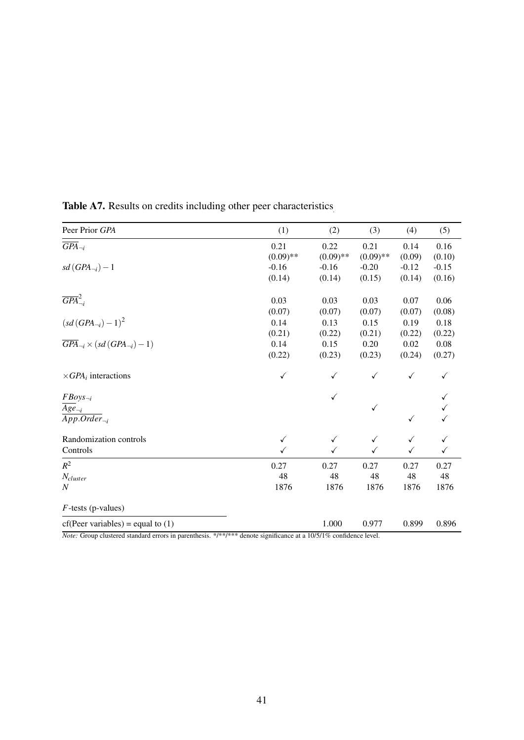| Peer Prior GPA                                        | (1)          | (2)          | (3)          | (4)          | (5)          |
|-------------------------------------------------------|--------------|--------------|--------------|--------------|--------------|
| $\overline{GPA}_{\neg i}$                             | 0.21         | 0.22         | 0.21         | 0.14         | 0.16         |
|                                                       | $(0.09)$ **  | $(0.09)$ **  | $(0.09)$ **  | (0.09)       | (0.10)       |
| $sd(GPA_{\neg i})-1$                                  | $-0.16$      | $-0.16$      | $-0.20$      | $-0.12$      | $-0.15$      |
|                                                       | (0.14)       | (0.14)       | (0.15)       | (0.14)       | (0.16)       |
| $\overline{GPA}^2_{\neg i}$                           | 0.03         | 0.03         | 0.03         | 0.07         | 0.06         |
|                                                       | (0.07)       | (0.07)       | (0.07)       | (0.07)       | (0.08)       |
| $(sd(GPA_{\neg i}) - 1)^2$                            | 0.14         | 0.13         | 0.15         | 0.19         | 0.18         |
|                                                       | (0.21)       | (0.22)       | (0.21)       | (0.22)       | (0.22)       |
| $\overline{GPA}_{\neg i} \times (sd(GPA_{\neg i})-1)$ | 0.14         | 0.15         | 0.20         | 0.02         | 0.08         |
|                                                       | (0.22)       | (0.23)       | (0.23)       | (0.24)       | (0.27)       |
| $\times GPA_i$ interactions                           | $\checkmark$ | $\checkmark$ | $\checkmark$ | $\checkmark$ | $\checkmark$ |
| $FBoys_{\neg i}$                                      |              | $\checkmark$ |              |              |              |
| $Age_{\neg i}$                                        |              |              | $\checkmark$ |              |              |
| $\overline{App. Order}_{\neg i}$                      |              |              |              | $\checkmark$ |              |
| Randomization controls                                | $\checkmark$ | $\checkmark$ | $\checkmark$ | $\checkmark$ | $\checkmark$ |
| Controls                                              |              | ✓            | $\checkmark$ | $\checkmark$ | ✓            |
| $R^2$                                                 | 0.27         | 0.27         | 0.27         | 0.27         | 0.27         |
| $N_{cluster}$                                         | 48           | 48           | 48           | 48           | 48           |
| $\boldsymbol{N}$                                      | 1876         | 1876         | 1876         | 1876         | 1876         |
| $F$ -tests (p-values)                                 |              |              |              |              |              |
| $cf(Peer variables) = equal to (1)$                   |              | 1.000        | 0.977        | 0.899        | 0.896        |

Table A7. Results on credits including other peer characteristics

*Note:* Group clustered standard errors in parenthesis. \*/\*\*/\*\*\* denote significance at a 10/5/1% confidence level.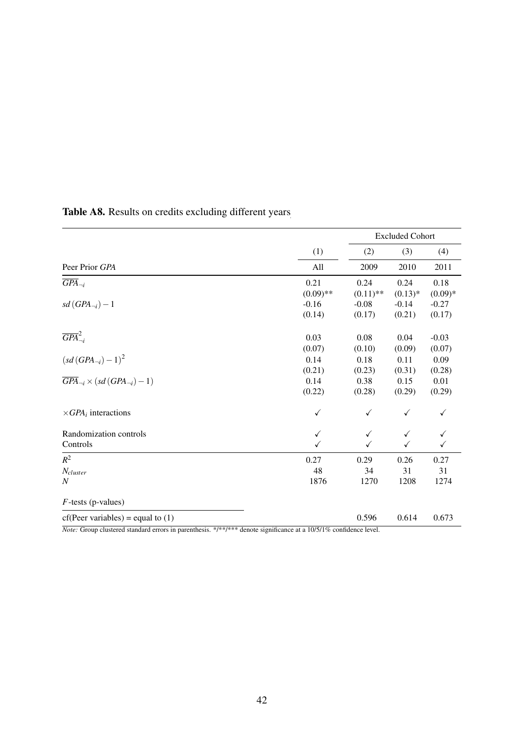|                                                         |             |              | <b>Excluded Cohort</b> |              |
|---------------------------------------------------------|-------------|--------------|------------------------|--------------|
|                                                         | (1)         | (2)          | (3)                    | (4)          |
| Peer Prior GPA                                          | All         | 2009         | 2010                   | 2011         |
| $\overline{GPA}_{\neg i}$                               | 0.21        | 0.24         | 0.24                   | 0.18         |
|                                                         | $(0.09)$ ** | $(0.11)$ **  | $(0.13)*$              | $(0.09)*$    |
| $sd(GPA_{\neg i})-1$                                    | $-0.16$     | $-0.08$      | $-0.14$                | $-0.27$      |
|                                                         | (0.14)      | (0.17)       | (0.21)                 | (0.17)       |
| $\overline{GPA}^2_{\neg i}$                             | 0.03        | 0.08         | 0.04                   | $-0.03$      |
|                                                         | (0.07)      | (0.10)       | (0.09)                 | (0.07)       |
| $(sd(GPA_{\neg i}) - 1)^2$                              | 0.14        | 0.18         | 0.11                   | 0.09         |
|                                                         | (0.21)      | (0.23)       | (0.31)                 | (0.28)       |
| $\overline{GPA}_{\neg i} \times (sd(GPA_{\neg i}) - 1)$ | 0.14        | 0.38         | 0.15                   | 0.01         |
|                                                         | (0.22)      | (0.28)       | (0.29)                 | (0.29)       |
| $\times GPA_i$ interactions                             | ✓           | $\checkmark$ | $\checkmark$           | $\checkmark$ |
| Randomization controls                                  | ✓           | $\checkmark$ | $\checkmark$           | ✓            |
| Controls                                                |             | ✓            | ✓                      | ✓            |
| $R^2$                                                   | 0.27        | 0.29         | 0.26                   | 0.27         |
| $N_{cluster}$                                           | 48          | 34           | 31                     | 31           |
| $\boldsymbol{N}$                                        | 1876        | 1270         | 1208                   | 1274         |
| $F$ -tests (p-values)                                   |             |              |                        |              |
| $cf(Peer variables) = equal to (1)$                     |             | 0.596        | 0.614                  | 0.673        |

# Table A8. Results on credits excluding different years

*Note:* Group clustered standard errors in parenthesis. \*/\*\*/\*\*\* denote significance at a 10/5/1% confidence level.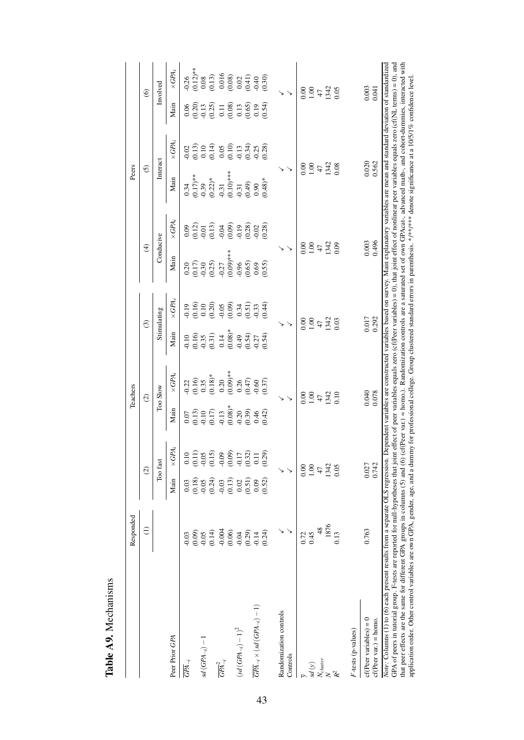|                                                                                                                                                                                                                                                                                                                                                                                                                                                                                                                                                                                                                                                                                                                                                                                                                                                                                                             | Responded            |                   |                   |                                      | Teachers                                                    |                                              |                                                                           |                         |                                      | Peers                   |                                                                                       |                                                                     |                                                                          |
|-------------------------------------------------------------------------------------------------------------------------------------------------------------------------------------------------------------------------------------------------------------------------------------------------------------------------------------------------------------------------------------------------------------------------------------------------------------------------------------------------------------------------------------------------------------------------------------------------------------------------------------------------------------------------------------------------------------------------------------------------------------------------------------------------------------------------------------------------------------------------------------------------------------|----------------------|-------------------|-------------------|--------------------------------------|-------------------------------------------------------------|----------------------------------------------|---------------------------------------------------------------------------|-------------------------|--------------------------------------|-------------------------|---------------------------------------------------------------------------------------|---------------------------------------------------------------------|--------------------------------------------------------------------------|
|                                                                                                                                                                                                                                                                                                                                                                                                                                                                                                                                                                                                                                                                                                                                                                                                                                                                                                             | Э                    |                   | $\widehat{c}$     |                                      | $\widehat{\infty}$                                          |                                              | $\odot$                                                                   | $\widehat{\mathcal{F}}$ |                                      | $\odot$                 |                                                                                       |                                                                     | $\circledcirc$                                                           |
|                                                                                                                                                                                                                                                                                                                                                                                                                                                                                                                                                                                                                                                                                                                                                                                                                                                                                                             |                      |                   | Too fast          |                                      | Too Slow                                                    |                                              | Stimulating                                                               | Conducive               |                                      | Interact                |                                                                                       |                                                                     | Involved                                                                 |
| Peer Prior GPA                                                                                                                                                                                                                                                                                                                                                                                                                                                                                                                                                                                                                                                                                                                                                                                                                                                                                              |                      | Main              | $\times GPA_i$    | Main                                 | $\times GPA_i$                                              | Main                                         | $\times GPA_i$                                                            | Main                    | $\times GPA_i$                       | Main                    | $\times GPA_i$                                                                        | Main                                                                | $\times GPA_i$                                                           |
| $\overline{GPA}_{\neg i}$                                                                                                                                                                                                                                                                                                                                                                                                                                                                                                                                                                                                                                                                                                                                                                                                                                                                                   | 0.03                 | 0.03              | 0.10              |                                      | $-0.22$                                                     |                                              |                                                                           | 0.20                    |                                      | 0.34                    |                                                                                       |                                                                     |                                                                          |
|                                                                                                                                                                                                                                                                                                                                                                                                                                                                                                                                                                                                                                                                                                                                                                                                                                                                                                             | (0.09)               | (0.18)            | (0.11)            |                                      |                                                             |                                              |                                                                           | $(0.17)$<br>$-0.30$     |                                      | $(0.17)$ **             |                                                                                       |                                                                     |                                                                          |
| $sd(GPA_{\neg i}) - 1$                                                                                                                                                                                                                                                                                                                                                                                                                                                                                                                                                                                                                                                                                                                                                                                                                                                                                      | $-0.05$<br>$(0.14)$  | (0.24)<br>$-0.05$ | $-0.05$<br>(0.15) | $0.13$<br>$0.13$<br>$0.17$<br>$0.17$ | $\begin{array}{c} (0.16) \\ 0.35 \\ 0.18)^\ast \end{array}$ | $(0.16)$<br>$(0.16)$<br>$(0.31)$<br>$(0.31)$ | $-0.19$<br>$-0.10$<br>$-0.20$<br>$-0.05$<br>$-0.05$<br>$-0.51$<br>$-0.53$ | (0.25)                  | $0.12$<br>$0.12$<br>$0.13$<br>$0.13$ | $(0.22)*$<br>$-0.39$    | $-0.13$<br>$-0.14$<br>$-0.05$<br>$-0.05$<br>$-0.05$<br>$-0.13$<br>$-0.05$<br>$-0.034$ | $0.20$<br>$0.20$<br>$0.25$<br>$0.25$                                | $\begin{array}{c} 0.26 \\ (0.12) \text{*} \\ 0.08 \\ (0.13) \end{array}$ |
| $\overline{GPA}_{\neg i}^2$                                                                                                                                                                                                                                                                                                                                                                                                                                                                                                                                                                                                                                                                                                                                                                                                                                                                                 |                      | $-0.03$           | $-0.09$           | 0.13                                 | 0.20                                                        |                                              |                                                                           | $-0.27$                 |                                      |                         |                                                                                       |                                                                     |                                                                          |
|                                                                                                                                                                                                                                                                                                                                                                                                                                                                                                                                                                                                                                                                                                                                                                                                                                                                                                             | $-0.004$<br>$(0.06)$ | (0.13)            | (0.09)            | $(0.08)*$                            | $(0.09)$ **                                                 | $0.14$<br>$(0.08)*$                          |                                                                           | (0.00)                  | $-0.04$<br>$-0.09$                   | $-0.31$<br>$(0.10)$ *** |                                                                                       | $\begin{array}{c} 0.11 \\ 0.08 \\ 0.13 \\ 0.65 \\ 0.09 \end{array}$ | $\begin{array}{c} 0.016 \\ 0.08) \\ 0.02 \\ 0.41) \\ 0.40 \end{array}$   |
| $\left(sd\left(GPA_{\neg i}\right)-1\right)^2$                                                                                                                                                                                                                                                                                                                                                                                                                                                                                                                                                                                                                                                                                                                                                                                                                                                              | $-0.04$              | 0.02              | $-0.17$           | 0.20                                 | 0.26                                                        | 64.0                                         |                                                                           | $-0.96$                 | 0.19                                 | $-0.31$                 |                                                                                       |                                                                     |                                                                          |
|                                                                                                                                                                                                                                                                                                                                                                                                                                                                                                                                                                                                                                                                                                                                                                                                                                                                                                             | (0.29)               | (0.51)            | (0.32)            | (0.39)                               | (0.47)                                                      | (0.54)                                       |                                                                           | (0.65)                  | (0.28)                               | (0.49)                  |                                                                                       |                                                                     |                                                                          |
| $\overline{GPA}_{\neg i} \times (sd(GPA_{\neg i})-1)$                                                                                                                                                                                                                                                                                                                                                                                                                                                                                                                                                                                                                                                                                                                                                                                                                                                       | $-0.14$              | 0.09              | 0.11              | 0.46                                 | $-0.60$                                                     | $-0.27$                                      |                                                                           | 0.69                    | $-0.02$                              | 0.90                    | $-0.25$<br>$(0.28)$                                                                   |                                                                     |                                                                          |
|                                                                                                                                                                                                                                                                                                                                                                                                                                                                                                                                                                                                                                                                                                                                                                                                                                                                                                             | (0.24)               | (0.52)            | (0.29)            | (0.42)                               | (0.37)                                                      | (0.54)                                       | (0.44)                                                                    | (0.55)                  | (0.28)                               | $(8+0.48)$ *            |                                                                                       | (0.54)                                                              | (0.30)                                                                   |
| Randomization controls                                                                                                                                                                                                                                                                                                                                                                                                                                                                                                                                                                                                                                                                                                                                                                                                                                                                                      |                      |                   |                   |                                      |                                                             |                                              |                                                                           |                         |                                      |                         |                                                                                       |                                                                     |                                                                          |
| Controls                                                                                                                                                                                                                                                                                                                                                                                                                                                                                                                                                                                                                                                                                                                                                                                                                                                                                                    |                      |                   |                   |                                      |                                                             |                                              |                                                                           |                         |                                      |                         |                                                                                       |                                                                     |                                                                          |
|                                                                                                                                                                                                                                                                                                                                                                                                                                                                                                                                                                                                                                                                                                                                                                                                                                                                                                             | 0.72                 |                   | 0.00              |                                      | 0.00                                                        |                                              | 0.00                                                                      | 0.00                    |                                      | 0.00                    |                                                                                       |                                                                     | 0.00                                                                     |
| $sd\left( y\right)$                                                                                                                                                                                                                                                                                                                                                                                                                                                                                                                                                                                                                                                                                                                                                                                                                                                                                         | 0.45                 |                   | 00.1              |                                      | 1.00                                                        |                                              | 1.00                                                                      |                         | 1.00                                 | 1.00                    |                                                                                       |                                                                     |                                                                          |
| $N_{cluster}$                                                                                                                                                                                                                                                                                                                                                                                                                                                                                                                                                                                                                                                                                                                                                                                                                                                                                               | $\frac{48}{5}$       |                   | 47                |                                      | $\ddot{4}$                                                  |                                              | 47                                                                        | 47                      |                                      | 47                      |                                                                                       |                                                                     | 60.1                                                                     |
| $\geq$                                                                                                                                                                                                                                                                                                                                                                                                                                                                                                                                                                                                                                                                                                                                                                                                                                                                                                      | 1876                 |                   | 1342              |                                      | 1342                                                        |                                              | 1342                                                                      | 1342                    |                                      | 1342                    |                                                                                       |                                                                     | 1342<br>0.05                                                             |
| $\mathbb{R}^2$                                                                                                                                                                                                                                                                                                                                                                                                                                                                                                                                                                                                                                                                                                                                                                                                                                                                                              | 0.13                 |                   | 0.05              |                                      | 0.10                                                        |                                              | 0.03                                                                      | 0.09                    |                                      | 0.08                    |                                                                                       |                                                                     |                                                                          |
| $F$ -tests (p-values)                                                                                                                                                                                                                                                                                                                                                                                                                                                                                                                                                                                                                                                                                                                                                                                                                                                                                       |                      |                   |                   |                                      |                                                             |                                              |                                                                           |                         |                                      |                         |                                                                                       |                                                                     |                                                                          |
| $cf(Per variables) = 0$                                                                                                                                                                                                                                                                                                                                                                                                                                                                                                                                                                                                                                                                                                                                                                                                                                                                                     | 0.763                |                   | 0.027             |                                      | 0.040                                                       |                                              | 0.017                                                                     | 0.003                   |                                      | 0.020                   |                                                                                       |                                                                     | 0.003                                                                    |
| $cf(Peer var.) = hom.$                                                                                                                                                                                                                                                                                                                                                                                                                                                                                                                                                                                                                                                                                                                                                                                                                                                                                      |                      |                   | 0.742             |                                      | 0.078                                                       |                                              | 0.292                                                                     | 0.496                   |                                      | 0.562                   |                                                                                       |                                                                     | 0.041                                                                    |
| GPA of peers in tutorial group. F-tests are reported for mull-hypotheses that joint effect of peer variables equals zero (cf(Peer variables) = 0), that joint effect of nonlinear peer variables equals zero (cf(NL terms) = 0<br>that peer effects are the same for different GPA groups in columns (5) and (6) (cf(Peer var.) = homo.). Randomization controls are a saturated set of own GPAcat-, advanced math-, and cohort-dummies, interacted with<br>Note: Columns (1) to (6) each present results from a separate OLS regression. Dependent variables are constructed variables based on survey. Main explanatory variables are mean and standard deviation of standardized<br>application order. Other control variables are own GPA, gender, age, and a dummy for professional college. Group clustered standard errors in parenthesis. */**/** denote significance at a 10/5/1% confidence level |                      |                   |                   |                                      |                                                             |                                              |                                                                           |                         |                                      |                         |                                                                                       |                                                                     |                                                                          |

Table A9. Mechanisms Table A9. Mechanisms